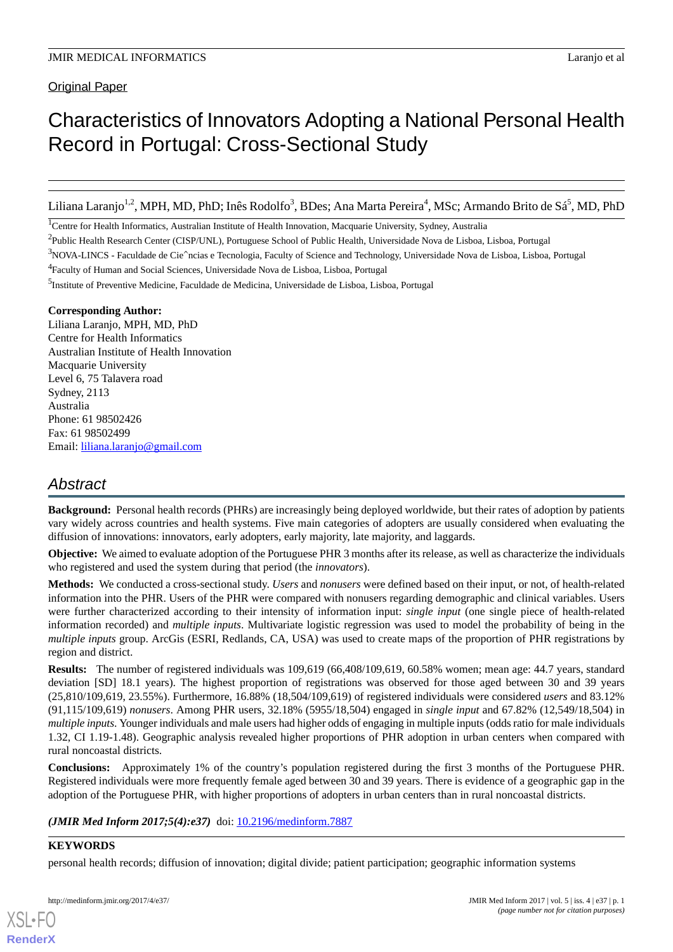Original Paper

# Characteristics of Innovators Adopting a National Personal Health Record in Portugal: Cross-Sectional Study

Liliana Laranjo<sup>1,2</sup>, MPH, MD, PhD; Inês Rodolfo<sup>3</sup>, BDes; Ana Marta Pereira<sup>4</sup>, MSc; Armando Brito de Sá<sup>5</sup>, MD, PhD

<sup>1</sup>Centre for Health Informatics, Australian Institute of Health Innovation, Macquarie University, Sydney, Australia

<sup>4</sup>Faculty of Human and Social Sciences, Universidade Nova de Lisboa, Lisboa, Portugal

<sup>5</sup>Institute of Preventive Medicine, Faculdade de Medicina, Universidade de Lisboa, Lisboa, Portugal

## **Corresponding Author:**

Liliana Laranjo, MPH, MD, PhD Centre for Health Informatics Australian Institute of Health Innovation Macquarie University Level 6, 75 Talavera road Sydney, 2113 Australia Phone: 61 98502426 Fax: 61 98502499 Email: [liliana.laranjo@gmail.com](mailto:liliana.laranjo@gmail.com)

## *Abstract*

**Background:** Personal health records (PHRs) are increasingly being deployed worldwide, but their rates of adoption by patients vary widely across countries and health systems. Five main categories of adopters are usually considered when evaluating the diffusion of innovations: innovators, early adopters, early majority, late majority, and laggards.

**Objective:** We aimed to evaluate adoption of the Portuguese PHR 3 months after its release, as well as characterize the individuals who registered and used the system during that period (the *innovators*).

**Methods:** We conducted a cross-sectional study. *Users* and *nonusers* were defined based on their input, or not, of health-related information into the PHR. Users of the PHR were compared with nonusers regarding demographic and clinical variables. Users were further characterized according to their intensity of information input: *single input* (one single piece of health-related information recorded) and *multiple inputs*. Multivariate logistic regression was used to model the probability of being in the *multiple inputs* group. ArcGis (ESRI, Redlands, CA, USA) was used to create maps of the proportion of PHR registrations by region and district.

**Results:** The number of registered individuals was 109,619 (66,408/109,619, 60.58% women; mean age: 44.7 years, standard deviation [SD] 18.1 years). The highest proportion of registrations was observed for those aged between 30 and 39 years (25,810/109,619, 23.55%). Furthermore, 16.88% (18,504/109,619) of registered individuals were considered *users* and 83.12% (91,115/109,619) *nonusers*. Among PHR users, 32.18% (5955/18,504) engaged in *single input* and 67.82% (12,549/18,504) in *multiple inputs*. Younger individuals and male users had higher odds of engaging in multiple inputs (odds ratio for male individuals 1.32, CI 1.19-1.48). Geographic analysis revealed higher proportions of PHR adoption in urban centers when compared with rural noncoastal districts.

**Conclusions:** Approximately 1% of the country's population registered during the first 3 months of the Portuguese PHR. Registered individuals were more frequently female aged between 30 and 39 years. There is evidence of a geographic gap in the adoption of the Portuguese PHR, with higher proportions of adopters in urban centers than in rural noncoastal districts.

(JMIR Med Inform 2017;5(4):e37) doi: [10.2196/medinform.7887](http://dx.doi.org/10.2196/medinform.7887)

## **KEYWORDS**

[XSL](http://www.w3.org/Style/XSL)•FO **[RenderX](http://www.renderx.com/)**

personal health records; diffusion of innovation; digital divide; patient participation; geographic information systems

<sup>&</sup>lt;sup>2</sup>Public Health Research Center (CISP/UNL), Portuguese School of Public Health, Universidade Nova de Lisboa, Lisboa, Portugal

<sup>&</sup>lt;sup>3</sup>NOVA-LINCS - Faculdade de Cie^ncias e Tecnologia, Faculty of Science and Technology, Universidade Nova de Lisboa, Lisboa, Portugal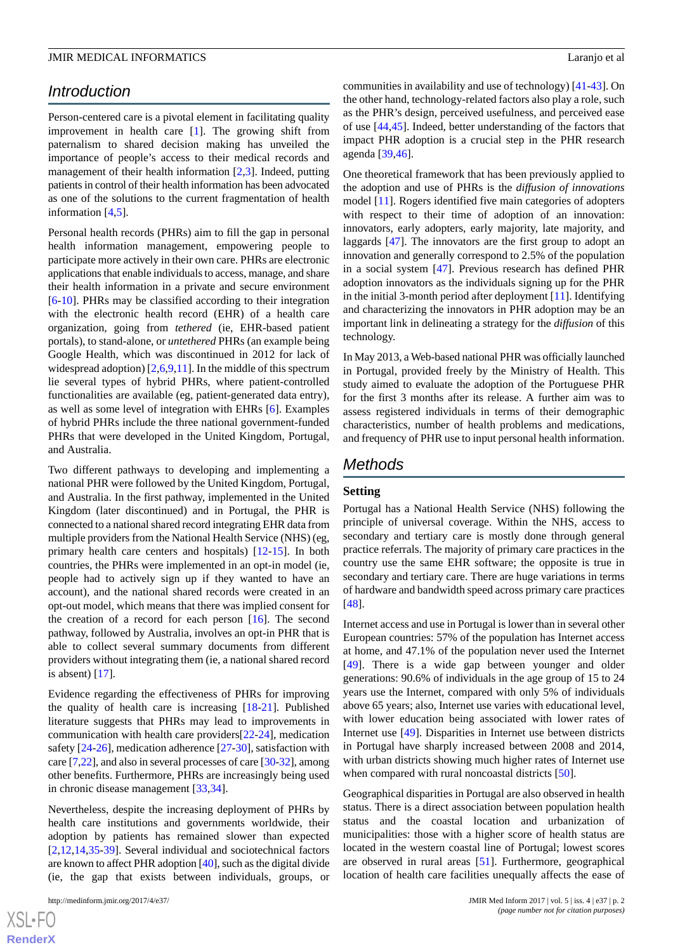## *Introduction*

Person-centered care is a pivotal element in facilitating quality improvement in health care [\[1](#page-9-0)]. The growing shift from paternalism to shared decision making has unveiled the importance of people's access to their medical records and management of their health information [[2](#page-9-1)[,3](#page-9-2)]. Indeed, putting patients in control of their health information has been advocated as one of the solutions to the current fragmentation of health information [[4,](#page-9-3)[5](#page-9-4)].

Personal health records (PHRs) aim to fill the gap in personal health information management, empowering people to participate more actively in their own care. PHRs are electronic applications that enable individuals to access, manage, and share their health information in a private and secure environment [[6](#page-9-5)[-10](#page-9-6)]. PHRs may be classified according to their integration with the electronic health record (EHR) of a health care organization, going from *tethered* (ie, EHR-based patient portals), to stand-alone, or *untethered* PHRs (an example being Google Health, which was discontinued in 2012 for lack of widespread adoption)  $[2,6,9,11]$  $[2,6,9,11]$  $[2,6,9,11]$  $[2,6,9,11]$  $[2,6,9,11]$  $[2,6,9,11]$  $[2,6,9,11]$ . In the middle of this spectrum lie several types of hybrid PHRs, where patient-controlled functionalities are available (eg, patient-generated data entry), as well as some level of integration with EHRs [\[6\]](#page-9-5). Examples of hybrid PHRs include the three national government-funded PHRs that were developed in the United Kingdom, Portugal, and Australia.

Two different pathways to developing and implementing a national PHR were followed by the United Kingdom, Portugal, and Australia. In the first pathway, implemented in the United Kingdom (later discontinued) and in Portugal, the PHR is connected to a national shared record integrating EHR data from multiple providers from the National Health Service (NHS) (eg, primary health care centers and hospitals) [\[12](#page-9-9)-[15\]](#page-9-10). In both countries, the PHRs were implemented in an opt-in model (ie, people had to actively sign up if they wanted to have an account), and the national shared records were created in an opt-out model, which means that there was implied consent for the creation of a record for each person [\[16](#page-9-11)]. The second pathway, followed by Australia, involves an opt-in PHR that is able to collect several summary documents from different providers without integrating them (ie, a national shared record is absent) [\[17](#page-9-12)].

Evidence regarding the effectiveness of PHRs for improving the quality of health care is increasing [\[18](#page-9-13)[-21](#page-9-14)]. Published literature suggests that PHRs may lead to improvements in communication with health care providers[\[22](#page-9-15)-[24\]](#page-10-0), medication safety [[24-](#page-10-0)[26](#page-10-1)], medication adherence [\[27](#page-10-2)-[30\]](#page-10-3), satisfaction with care [\[7](#page-9-16),[22\]](#page-9-15), and also in several processes of care [[30-](#page-10-3)[32\]](#page-10-4), among other benefits. Furthermore, PHRs are increasingly being used in chronic disease management [[33,](#page-10-5)[34](#page-10-6)].

Nevertheless, despite the increasing deployment of PHRs by health care institutions and governments worldwide, their adoption by patients has remained slower than expected [[2](#page-9-1)[,12](#page-9-9),[14](#page-9-17)[,35](#page-10-7)-[39\]](#page-10-8). Several individual and sociotechnical factors are known to affect PHR adoption [\[40\]](#page-10-9), such as the digital divide (ie, the gap that exists between individuals, groups, or

 $XS$ -FO **[RenderX](http://www.renderx.com/)** communities in availability and use of technology) [\[41](#page-10-10)-[43\]](#page-10-11). On the other hand, technology-related factors also play a role, such as the PHR's design, perceived usefulness, and perceived ease of use [[44](#page-11-0)[,45](#page-11-1)]. Indeed, better understanding of the factors that impact PHR adoption is a crucial step in the PHR research agenda [[39](#page-10-8)[,46](#page-11-2)].

One theoretical framework that has been previously applied to the adoption and use of PHRs is the *diffusion of innovations* model [[11\]](#page-9-8). Rogers identified five main categories of adopters with respect to their time of adoption of an innovation: innovators, early adopters, early majority, late majority, and laggards [\[47](#page-11-3)]. The innovators are the first group to adopt an innovation and generally correspond to 2.5% of the population in a social system [\[47](#page-11-3)]. Previous research has defined PHR adoption innovators as the individuals signing up for the PHR in the initial 3-month period after deployment [\[11](#page-9-8)]. Identifying and characterizing the innovators in PHR adoption may be an important link in delineating a strategy for the *diffusion* of this technology.

In May 2013, a Web-based national PHR was officially launched in Portugal, provided freely by the Ministry of Health. This study aimed to evaluate the adoption of the Portuguese PHR for the first 3 months after its release. A further aim was to assess registered individuals in terms of their demographic characteristics, number of health problems and medications, and frequency of PHR use to input personal health information.

## *Methods*

## **Setting**

Portugal has a National Health Service (NHS) following the principle of universal coverage. Within the NHS, access to secondary and tertiary care is mostly done through general practice referrals. The majority of primary care practices in the country use the same EHR software; the opposite is true in secondary and tertiary care. There are huge variations in terms of hardware and bandwidth speed across primary care practices [[48\]](#page-11-4).

Internet access and use in Portugal is lower than in several other European countries: 57% of the population has Internet access at home, and 47.1% of the population never used the Internet [[49\]](#page-11-5). There is a wide gap between younger and older generations: 90.6% of individuals in the age group of 15 to 24 years use the Internet, compared with only 5% of individuals above 65 years; also, Internet use varies with educational level, with lower education being associated with lower rates of Internet use [[49\]](#page-11-5). Disparities in Internet use between districts in Portugal have sharply increased between 2008 and 2014, with urban districts showing much higher rates of Internet use when compared with rural noncoastal districts [\[50](#page-11-6)].

Geographical disparities in Portugal are also observed in health status. There is a direct association between population health status and the coastal location and urbanization of municipalities: those with a higher score of health status are located in the western coastal line of Portugal; lowest scores are observed in rural areas [\[51](#page-11-7)]. Furthermore, geographical location of health care facilities unequally affects the ease of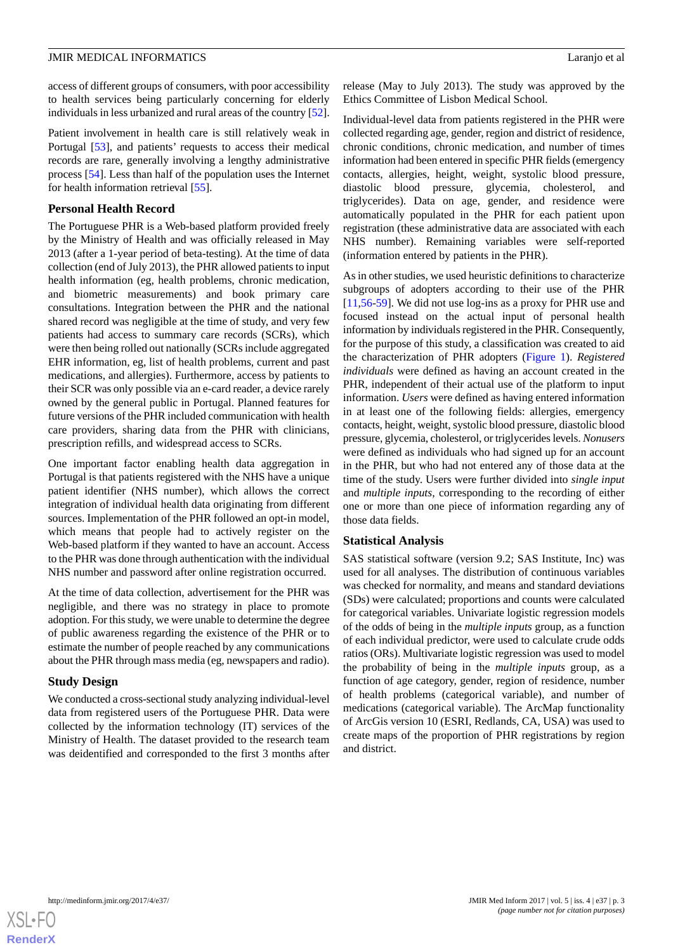access of different groups of consumers, with poor accessibility to health services being particularly concerning for elderly individuals in less urbanized and rural areas of the country [[52\]](#page-11-8).

Patient involvement in health care is still relatively weak in Portugal [[53\]](#page-11-9), and patients' requests to access their medical records are rare, generally involving a lengthy administrative process [\[54](#page-11-10)]. Less than half of the population uses the Internet for health information retrieval [[55\]](#page-11-11).

## **Personal Health Record**

The Portuguese PHR is a Web-based platform provided freely by the Ministry of Health and was officially released in May 2013 (after a 1-year period of beta-testing). At the time of data collection (end of July 2013), the PHR allowed patients to input health information (eg, health problems, chronic medication, and biometric measurements) and book primary care consultations. Integration between the PHR and the national shared record was negligible at the time of study, and very few patients had access to summary care records (SCRs), which were then being rolled out nationally (SCRs include aggregated EHR information, eg, list of health problems, current and past medications, and allergies). Furthermore, access by patients to their SCR was only possible via an e-card reader, a device rarely owned by the general public in Portugal. Planned features for future versions of the PHR included communication with health care providers, sharing data from the PHR with clinicians, prescription refills, and widespread access to SCRs.

One important factor enabling health data aggregation in Portugal is that patients registered with the NHS have a unique patient identifier (NHS number), which allows the correct integration of individual health data originating from different sources. Implementation of the PHR followed an opt-in model, which means that people had to actively register on the Web-based platform if they wanted to have an account. Access to the PHR was done through authentication with the individual NHS number and password after online registration occurred.

At the time of data collection, advertisement for the PHR was negligible, and there was no strategy in place to promote adoption. For this study, we were unable to determine the degree of public awareness regarding the existence of the PHR or to estimate the number of people reached by any communications about the PHR through mass media (eg, newspapers and radio).

## **Study Design**

We conducted a cross-sectional study analyzing individual-level data from registered users of the Portuguese PHR. Data were collected by the information technology (IT) services of the Ministry of Health. The dataset provided to the research team was deidentified and corresponded to the first 3 months after

release (May to July 2013). The study was approved by the Ethics Committee of Lisbon Medical School.

Individual-level data from patients registered in the PHR were collected regarding age, gender, region and district of residence, chronic conditions, chronic medication, and number of times information had been entered in specific PHR fields (emergency contacts, allergies, height, weight, systolic blood pressure, diastolic blood pressure, glycemia, cholesterol, and triglycerides). Data on age, gender, and residence were automatically populated in the PHR for each patient upon registration (these administrative data are associated with each NHS number). Remaining variables were self-reported (information entered by patients in the PHR).

As in other studies, we used heuristic definitions to characterize subgroups of adopters according to their use of the PHR [[11,](#page-9-8)[56-](#page-11-12)[59\]](#page-11-13). We did not use log-ins as a proxy for PHR use and focused instead on the actual input of personal health information by individuals registered in the PHR. Consequently, for the purpose of this study, a classification was created to aid the characterization of PHR adopters ([Figure 1\)](#page-3-0). *Registered individuals* were defined as having an account created in the PHR, independent of their actual use of the platform to input information. *Users* were defined as having entered information in at least one of the following fields: allergies, emergency contacts, height, weight, systolic blood pressure, diastolic blood pressure, glycemia, cholesterol, or triglycerides levels. *Nonusers* were defined as individuals who had signed up for an account in the PHR, but who had not entered any of those data at the time of the study. Users were further divided into *single input* and *multiple inputs*, corresponding to the recording of either one or more than one piece of information regarding any of those data fields.

## **Statistical Analysis**

SAS statistical software (version 9.2; SAS Institute, Inc) was used for all analyses. The distribution of continuous variables was checked for normality, and means and standard deviations (SDs) were calculated; proportions and counts were calculated for categorical variables. Univariate logistic regression models of the odds of being in the *multiple inputs* group, as a function of each individual predictor, were used to calculate crude odds ratios (ORs). Multivariate logistic regression was used to model the probability of being in the *multiple inputs* group, as a function of age category, gender, region of residence, number of health problems (categorical variable), and number of medications (categorical variable). The ArcMap functionality of ArcGis version 10 (ESRI, Redlands, CA, USA) was used to create maps of the proportion of PHR registrations by region and district.

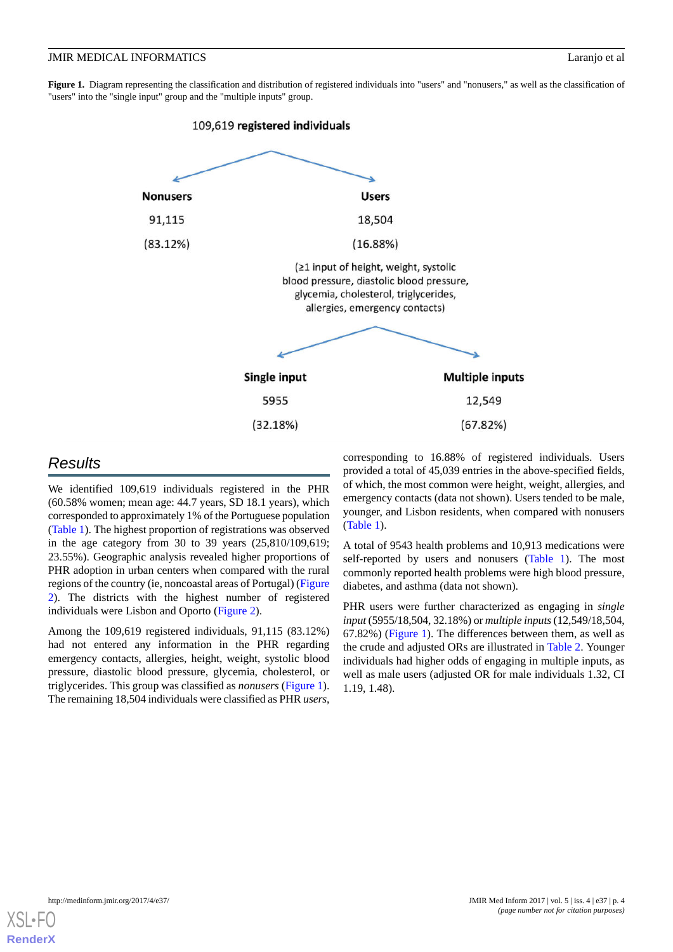<span id="page-3-0"></span>Figure 1. Diagram representing the classification and distribution of registered individuals into "users" and "nonusers," as well as the classification of "users" into the "single input" group and the "multiple inputs" group.



## *Results*

We identified 109,619 individuals registered in the PHR (60.58% women; mean age: 44.7 years, SD 18.1 years), which corresponded to approximately 1% of the Portuguese population ([Table 1\)](#page-4-0). The highest proportion of registrations was observed in the age category from 30 to 39 years (25,810/109,619; 23.55%). Geographic analysis revealed higher proportions of PHR adoption in urban centers when compared with the rural regions of the country (ie, noncoastal areas of Portugal) ([Figure](#page-6-0) [2\)](#page-6-0). The districts with the highest number of registered individuals were Lisbon and Oporto [\(Figure 2](#page-6-0)).

Among the 109,619 registered individuals, 91,115 (83.12%) had not entered any information in the PHR regarding emergency contacts, allergies, height, weight, systolic blood pressure, diastolic blood pressure, glycemia, cholesterol, or triglycerides. This group was classified as *nonusers* [\(Figure 1\)](#page-3-0). The remaining 18,504 individuals were classified as PHR *users*,

corresponding to 16.88% of registered individuals. Users provided a total of 45,039 entries in the above-specified fields, of which, the most common were height, weight, allergies, and emergency contacts (data not shown). Users tended to be male, younger, and Lisbon residents, when compared with nonusers ([Table 1](#page-4-0)).

A total of 9543 health problems and 10,913 medications were self-reported by users and nonusers ([Table 1](#page-4-0)). The most commonly reported health problems were high blood pressure, diabetes, and asthma (data not shown).

PHR users were further characterized as engaging in *single input* (5955/18,504, 32.18%) or *multiple inputs*(12,549/18,504, 67.82%) ([Figure 1\)](#page-3-0). The differences between them, as well as the crude and adjusted ORs are illustrated in [Table 2.](#page-5-0) Younger individuals had higher odds of engaging in multiple inputs, as well as male users (adjusted OR for male individuals 1.32, CI 1.19, 1.48).

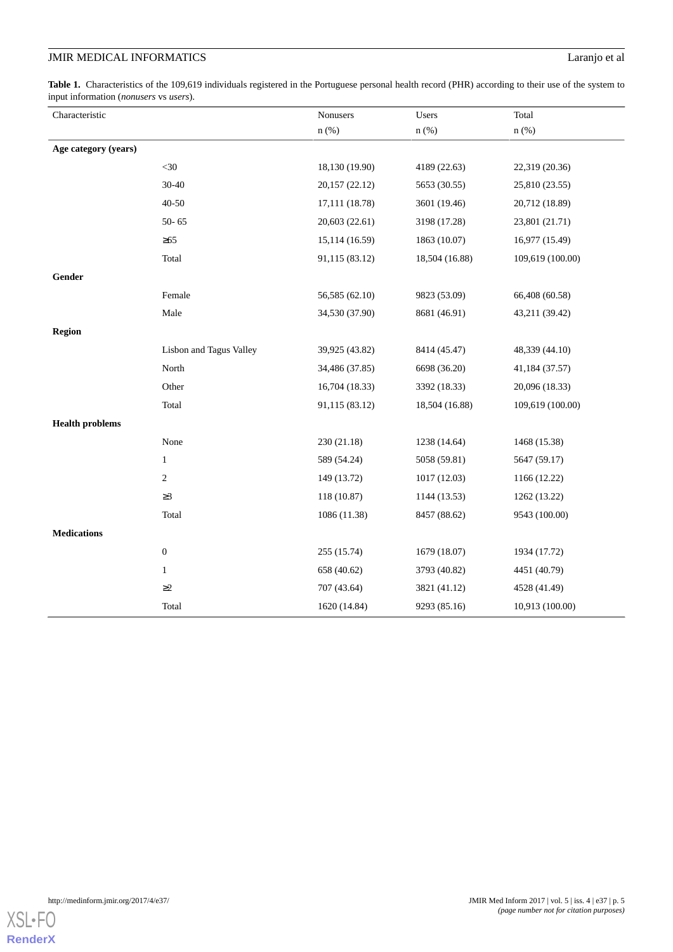## **JMIR MEDICAL INFORMATICS** Laranjo et al

<span id="page-4-0"></span>Table 1. Characteristics of the 109,619 individuals registered in the Portuguese personal health record (PHR) according to their use of the system to input information (*nonusers* vs *users*).

| Characteristic         |                         | Nonusers       | Users          | Total            |
|------------------------|-------------------------|----------------|----------------|------------------|
|                        |                         | $n$ (%)        | $n$ (%)        | $n$ (%)          |
| Age category (years)   |                         |                |                |                  |
|                        | $<$ 30                  | 18,130 (19.90) | 4189 (22.63)   | 22,319 (20.36)   |
|                        | $30 - 40$               | 20,157 (22.12) | 5653 (30.55)   | 25,810 (23.55)   |
|                        | $40 - 50$               | 17,111 (18.78) | 3601 (19.46)   | 20,712 (18.89)   |
|                        | $50 - 65$               | 20,603 (22.61) | 3198 (17.28)   | 23,801 (21.71)   |
|                        | $\geq 65$               | 15,114 (16.59) | 1863 (10.07)   | 16,977 (15.49)   |
|                        | Total                   | 91,115 (83.12) | 18,504 (16.88) | 109,619 (100.00) |
| Gender                 |                         |                |                |                  |
|                        | Female                  | 56,585 (62.10) | 9823 (53.09)   | 66,408 (60.58)   |
|                        | Male                    | 34,530 (37.90) | 8681 (46.91)   | 43,211 (39.42)   |
| Region                 |                         |                |                |                  |
|                        | Lisbon and Tagus Valley | 39,925 (43.82) | 8414 (45.47)   | 48,339 (44.10)   |
|                        | North                   | 34,486 (37.85) | 6698 (36.20)   | 41,184 (37.57)   |
|                        | Other                   | 16,704 (18.33) | 3392 (18.33)   | 20,096 (18.33)   |
|                        | Total                   | 91,115 (83.12) | 18,504 (16.88) | 109,619 (100.00) |
| <b>Health problems</b> |                         |                |                |                  |
|                        | None                    | 230(21.18)     | 1238 (14.64)   | 1468 (15.38)     |
|                        | $\mathbf{1}$            | 589 (54.24)    | 5058 (59.81)   | 5647 (59.17)     |
|                        | 2                       | 149 (13.72)    | 1017(12.03)    | 1166 (12.22)     |
|                        | $\geq$ 3                | 118 (10.87)    | 1144 (13.53)   | 1262 (13.22)     |
|                        | Total                   | 1086 (11.38)   | 8457 (88.62)   | 9543 (100.00)    |
| <b>Medications</b>     |                         |                |                |                  |
|                        | $\boldsymbol{0}$        | 255 (15.74)    | 1679 (18.07)   | 1934 (17.72)     |
|                        | $\mathbf{1}$            | 658 (40.62)    | 3793 (40.82)   | 4451 (40.79)     |
|                        | $\geq$ 2                | 707 (43.64)    | 3821 (41.12)   | 4528 (41.49)     |
|                        | Total                   | 1620 (14.84)   | 9293 (85.16)   | 10,913 (100.00)  |

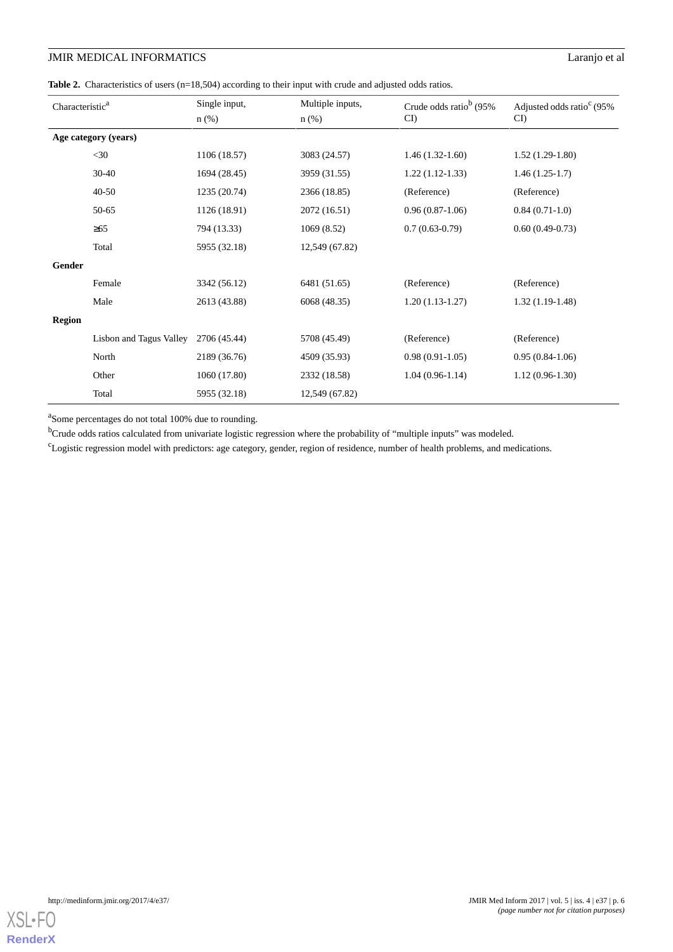## **JMIR MEDICAL INFORMATICS** Laranjo et al

<span id="page-5-0"></span>Table 2. Characteristics of users (n=18,504) according to their input with crude and adjusted odds ratios.

| Characteristic <sup>a</sup> |                         | Single input, | Multiple inputs, | Crude odds ratio <sup>b</sup> (95% | Adjusted odds ratio <sup>c</sup> (95% |
|-----------------------------|-------------------------|---------------|------------------|------------------------------------|---------------------------------------|
|                             |                         | $n$ (%)       | $n$ (%)          | CI)                                | $CI$ )                                |
| Age category (years)        |                         |               |                  |                                    |                                       |
|                             | $<$ 30                  | 1106 (18.57)  | 3083 (24.57)     | $1.46(1.32-1.60)$                  | $1.52(1.29-1.80)$                     |
|                             | 30-40                   | 1694 (28.45)  | 3959 (31.55)     | $1.22(1.12-1.33)$                  | $1.46(1.25-1.7)$                      |
|                             | $40 - 50$               | 1235 (20.74)  | 2366 (18.85)     | (Reference)                        | (Reference)                           |
|                             | 50-65                   | 1126 (18.91)  | 2072 (16.51)     | $0.96(0.87-1.06)$                  | $0.84(0.71-1.0)$                      |
|                             | $\geq 65$               | 794 (13.33)   | 1069 (8.52)      | $0.7(0.63-0.79)$                   | $0.60(0.49-0.73)$                     |
|                             | Total                   | 5955 (32.18)  | 12,549 (67.82)   |                                    |                                       |
| Gender                      |                         |               |                  |                                    |                                       |
|                             | Female                  | 3342 (56.12)  | 6481 (51.65)     | (Reference)                        | (Reference)                           |
|                             | Male                    | 2613 (43.88)  | 6068 (48.35)     | $1.20(1.13-1.27)$                  | $1.32(1.19-1.48)$                     |
| <b>Region</b>               |                         |               |                  |                                    |                                       |
|                             | Lisbon and Tagus Valley | 2706 (45.44)  | 5708 (45.49)     | (Reference)                        | (Reference)                           |
|                             | North                   | 2189 (36.76)  | 4509 (35.93)     | $0.98(0.91-1.05)$                  | $0.95(0.84-1.06)$                     |
|                             | Other                   | 1060 (17.80)  | 2332 (18.58)     | $1.04(0.96-1.14)$                  | $1.12(0.96-1.30)$                     |
|                             | Total                   | 5955 (32.18)  | 12,549 (67.82)   |                                    |                                       |

<sup>a</sup>Some percentages do not total 100% due to rounding.

<sup>b</sup>Crude odds ratios calculated from univariate logistic regression where the probability of "multiple inputs" was modeled.

<sup>c</sup>Logistic regression model with predictors: age category, gender, region of residence, number of health problems, and medications.

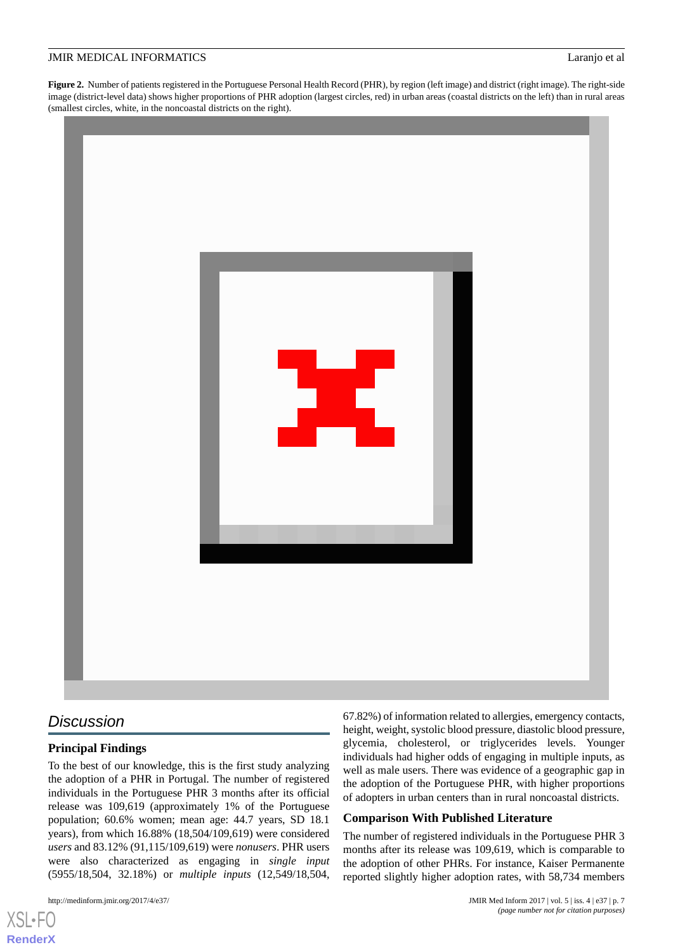<span id="page-6-0"></span>**Figure 2.** Number of patients registered in the Portuguese Personal Health Record (PHR), by region (left image) and district (right image). The right-side image (district-level data) shows higher proportions of PHR adoption (largest circles, red) in urban areas (coastal districts on the left) than in rural areas (smallest circles, white, in the noncoastal districts on the right).



## *Discussion*

## **Principal Findings**

To the best of our knowledge, this is the first study analyzing the adoption of a PHR in Portugal. The number of registered individuals in the Portuguese PHR 3 months after its official release was 109,619 (approximately 1% of the Portuguese population; 60.6% women; mean age: 44.7 years, SD 18.1 years), from which 16.88% (18,504/109,619) were considered *users* and 83.12% (91,115/109,619) were *nonusers*. PHR users were also characterized as engaging in *single input* (5955/18,504, 32.18%) or *multiple inputs* (12,549/18,504,

[XSL](http://www.w3.org/Style/XSL)•FO **[RenderX](http://www.renderx.com/)**

67.82%) of information related to allergies, emergency contacts, height, weight, systolic blood pressure, diastolic blood pressure, glycemia, cholesterol, or triglycerides levels. Younger individuals had higher odds of engaging in multiple inputs, as well as male users. There was evidence of a geographic gap in the adoption of the Portuguese PHR, with higher proportions of adopters in urban centers than in rural noncoastal districts.

## **Comparison With Published Literature**

The number of registered individuals in the Portuguese PHR 3 months after its release was 109,619, which is comparable to the adoption of other PHRs. For instance, Kaiser Permanente reported slightly higher adoption rates, with 58,734 members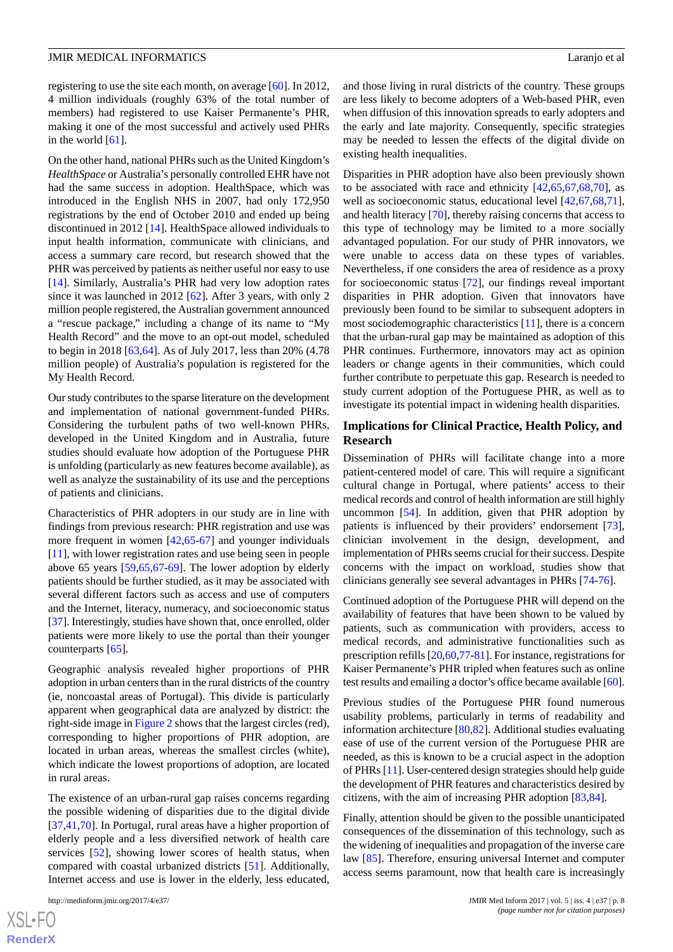registering to use the site each month, on average [[60\]](#page-11-14). In 2012, 4 million individuals (roughly 63% of the total number of members) had registered to use Kaiser Permanente's PHR, making it one of the most successful and actively used PHRs in the world [[61\]](#page-11-15).

On the other hand, national PHRs such as the United Kingdom's *HealthSpace* or Australia's personally controlled EHR have not had the same success in adoption. HealthSpace, which was introduced in the English NHS in 2007, had only 172,950 registrations by the end of October 2010 and ended up being discontinued in 2012 [\[14](#page-9-17)]. HealthSpace allowed individuals to input health information, communicate with clinicians, and access a summary care record, but research showed that the PHR was perceived by patients as neither useful nor easy to use [[14\]](#page-9-17). Similarly, Australia's PHR had very low adoption rates since it was launched in 2012 [\[62](#page-11-16)]. After 3 years, with only 2 million people registered, the Australian government announced a "rescue package," including a change of its name to "My Health Record" and the move to an opt-out model, scheduled to begin in 2018 [\[63](#page-11-17),[64\]](#page-11-18). As of July 2017, less than 20% (4.78 million people) of Australia's population is registered for the My Health Record.

Our study contributes to the sparse literature on the development and implementation of national government-funded PHRs. Considering the turbulent paths of two well-known PHRs, developed in the United Kingdom and in Australia, future studies should evaluate how adoption of the Portuguese PHR is unfolding (particularly as new features become available), as well as analyze the sustainability of its use and the perceptions of patients and clinicians.

Characteristics of PHR adopters in our study are in line with findings from previous research: PHR registration and use was more frequent in women [[42,](#page-10-12)[65](#page-11-19)[-67](#page-11-20)] and younger individuals [[11\]](#page-9-8), with lower registration rates and use being seen in people above 65 years [\[59](#page-11-13),[65](#page-11-19)[,67](#page-11-20)-[69\]](#page-12-0). The lower adoption by elderly patients should be further studied, as it may be associated with several different factors such as access and use of computers and the Internet, literacy, numeracy, and socioeconomic status [[37\]](#page-10-13). Interestingly, studies have shown that, once enrolled, older patients were more likely to use the portal than their younger counterparts [[65\]](#page-11-19).

Geographic analysis revealed higher proportions of PHR adoption in urban centers than in the rural districts of the country (ie, noncoastal areas of Portugal). This divide is particularly apparent when geographical data are analyzed by district: the right-side image in [Figure 2](#page-6-0) shows that the largest circles (red), corresponding to higher proportions of PHR adoption, are located in urban areas, whereas the smallest circles (white), which indicate the lowest proportions of adoption, are located in rural areas.

The existence of an urban-rural gap raises concerns regarding the possible widening of disparities due to the digital divide [[37](#page-10-13)[,41](#page-10-10),[70\]](#page-12-1). In Portugal, rural areas have a higher proportion of elderly people and a less diversified network of health care services [[52\]](#page-11-8), showing lower scores of health status, when compared with coastal urbanized districts [[51\]](#page-11-7). Additionally, Internet access and use is lower in the elderly, less educated,

and those living in rural districts of the country. These groups are less likely to become adopters of a Web-based PHR, even when diffusion of this innovation spreads to early adopters and the early and late majority. Consequently, specific strategies may be needed to lessen the effects of the digital divide on existing health inequalities.

Disparities in PHR adoption have also been previously shown to be associated with race and ethnicity [[42](#page-10-12)[,65](#page-11-19),[67](#page-11-20)[,68](#page-11-21),[70\]](#page-12-1), as well as socioeconomic status, educational level  $[42,67,68,71]$  $[42,67,68,71]$  $[42,67,68,71]$  $[42,67,68,71]$  $[42,67,68,71]$  $[42,67,68,71]$ , and health literacy [\[70](#page-12-1)], thereby raising concerns that access to this type of technology may be limited to a more socially advantaged population. For our study of PHR innovators, we were unable to access data on these types of variables. Nevertheless, if one considers the area of residence as a proxy for socioeconomic status [[72\]](#page-12-3), our findings reveal important disparities in PHR adoption. Given that innovators have previously been found to be similar to subsequent adopters in most sociodemographic characteristics [\[11](#page-9-8)], there is a concern that the urban-rural gap may be maintained as adoption of this PHR continues. Furthermore, innovators may act as opinion leaders or change agents in their communities, which could further contribute to perpetuate this gap. Research is needed to study current adoption of the Portuguese PHR, as well as to investigate its potential impact in widening health disparities.

## **Implications for Clinical Practice, Health Policy, and Research**

Dissemination of PHRs will facilitate change into a more patient-centered model of care. This will require a significant cultural change in Portugal, where patients' access to their medical records and control of health information are still highly uncommon [[54\]](#page-11-10). In addition, given that PHR adoption by patients is influenced by their providers' endorsement [[73\]](#page-12-4), clinician involvement in the design, development, and implementation of PHRs seems crucial for their success. Despite concerns with the impact on workload, studies show that clinicians generally see several advantages in PHRs [[74](#page-12-5)[-76](#page-12-6)].

Continued adoption of the Portuguese PHR will depend on the availability of features that have been shown to be valued by patients, such as communication with providers, access to medical records, and administrative functionalities such as prescription refills [[20](#page-9-18),[60](#page-11-14)[,77](#page-12-7)-[81\]](#page-12-8). For instance, registrations for Kaiser Permanente's PHR tripled when features such as online test results and emailing a doctor's office became available [\[60\]](#page-11-14).

Previous studies of the Portuguese PHR found numerous usability problems, particularly in terms of readability and information architecture [[80](#page-12-9)[,82](#page-12-10)]. Additional studies evaluating ease of use of the current version of the Portuguese PHR are needed, as this is known to be a crucial aspect in the adoption of PHRs [\[11](#page-9-8)]. User-centered design strategies should help guide the development of PHR features and characteristics desired by citizens, with the aim of increasing PHR adoption [[83](#page-12-11)[,84](#page-12-12)].

Finally, attention should be given to the possible unanticipated consequences of the dissemination of this technology, such as the widening of inequalities and propagation of the inverse care law [\[85](#page-12-13)]. Therefore, ensuring universal Internet and computer access seems paramount, now that health care is increasingly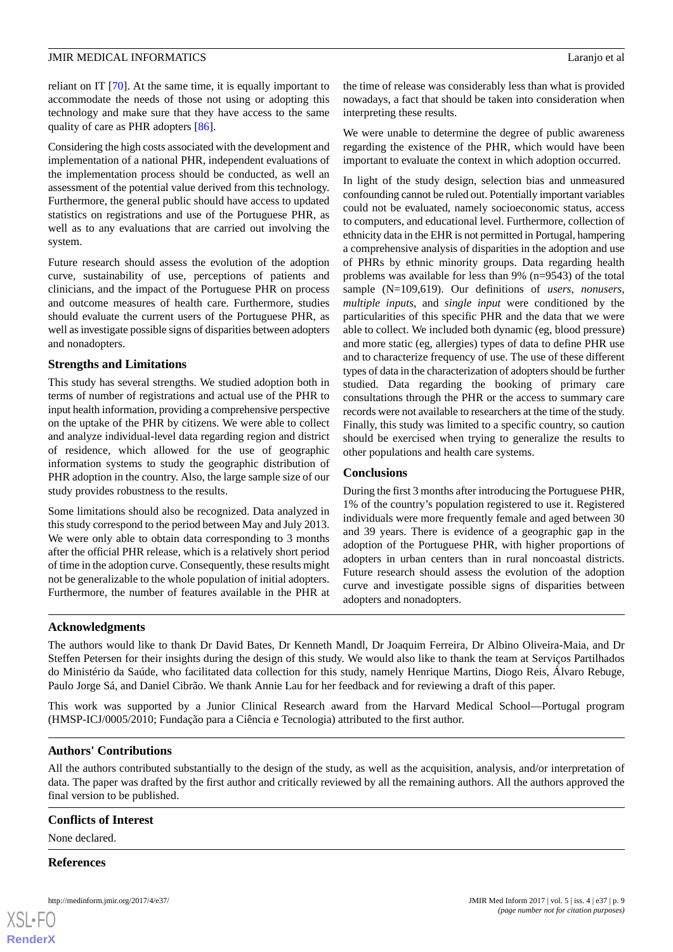reliant on IT [\[70](#page-12-1)]. At the same time, it is equally important to accommodate the needs of those not using or adopting this technology and make sure that they have access to the same quality of care as PHR adopters [\[86](#page-12-14)].

Considering the high costs associated with the development and implementation of a national PHR, independent evaluations of the implementation process should be conducted, as well an assessment of the potential value derived from this technology. Furthermore, the general public should have access to updated statistics on registrations and use of the Portuguese PHR, as well as to any evaluations that are carried out involving the system.

Future research should assess the evolution of the adoption curve, sustainability of use, perceptions of patients and clinicians, and the impact of the Portuguese PHR on process and outcome measures of health care. Furthermore, studies should evaluate the current users of the Portuguese PHR, as well as investigate possible signs of disparities between adopters and nonadopters.

## **Strengths and Limitations**

This study has several strengths. We studied adoption both in terms of number of registrations and actual use of the PHR to input health information, providing a comprehensive perspective on the uptake of the PHR by citizens. We were able to collect and analyze individual-level data regarding region and district of residence, which allowed for the use of geographic information systems to study the geographic distribution of PHR adoption in the country. Also, the large sample size of our study provides robustness to the results.

Some limitations should also be recognized. Data analyzed in this study correspond to the period between May and July 2013. We were only able to obtain data corresponding to 3 months after the official PHR release, which is a relatively short period of time in the adoption curve. Consequently, these results might not be generalizable to the whole population of initial adopters. Furthermore, the number of features available in the PHR at

the time of release was considerably less than what is provided nowadays, a fact that should be taken into consideration when interpreting these results.

We were unable to determine the degree of public awareness regarding the existence of the PHR, which would have been important to evaluate the context in which adoption occurred.

In light of the study design, selection bias and unmeasured confounding cannot be ruled out. Potentially important variables could not be evaluated, namely socioeconomic status, access to computers, and educational level. Furthermore, collection of ethnicity data in the EHR is not permitted in Portugal, hampering a comprehensive analysis of disparities in the adoption and use of PHRs by ethnic minority groups. Data regarding health problems was available for less than 9% (n=9543) of the total sample (N=109,619). Our definitions of *users*, *nonusers*, *multiple inputs*, and *single input* were conditioned by the particularities of this specific PHR and the data that we were able to collect. We included both dynamic (eg, blood pressure) and more static (eg, allergies) types of data to define PHR use and to characterize frequency of use. The use of these different types of data in the characterization of adopters should be further studied. Data regarding the booking of primary care consultations through the PHR or the access to summary care records were not available to researchers at the time of the study. Finally, this study was limited to a specific country, so caution should be exercised when trying to generalize the results to other populations and health care systems.

## **Conclusions**

During the first 3 months after introducing the Portuguese PHR, 1% of the country's population registered to use it. Registered individuals were more frequently female and aged between 30 and 39 years. There is evidence of a geographic gap in the adoption of the Portuguese PHR, with higher proportions of adopters in urban centers than in rural noncoastal districts. Future research should assess the evolution of the adoption curve and investigate possible signs of disparities between adopters and nonadopters.

## **Acknowledgments**

The authors would like to thank Dr David Bates, Dr Kenneth Mandl, Dr Joaquim Ferreira, Dr Albino Oliveira-Maia, and Dr Steffen Petersen for their insights during the design of this study. We would also like to thank the team at Serviços Partilhados do Ministério da Saúde, who facilitated data collection for this study, namely Henrique Martins, Diogo Reis, Álvaro Rebuge, Paulo Jorge Sá, and Daniel Cibrão. We thank Annie Lau for her feedback and for reviewing a draft of this paper.

This work was supported by a Junior Clinical Research award from the Harvard Medical School—Portugal program (HMSP-ICJ/0005/2010; Fundação para a Ciência e Tecnologia) attributed to the first author.

## **Authors' Contributions**

All the authors contributed substantially to the design of the study, as well as the acquisition, analysis, and/or interpretation of data. The paper was drafted by the first author and critically reviewed by all the remaining authors. All the authors approved the final version to be published.

## **Conflicts of Interest**

None declared.

**References**

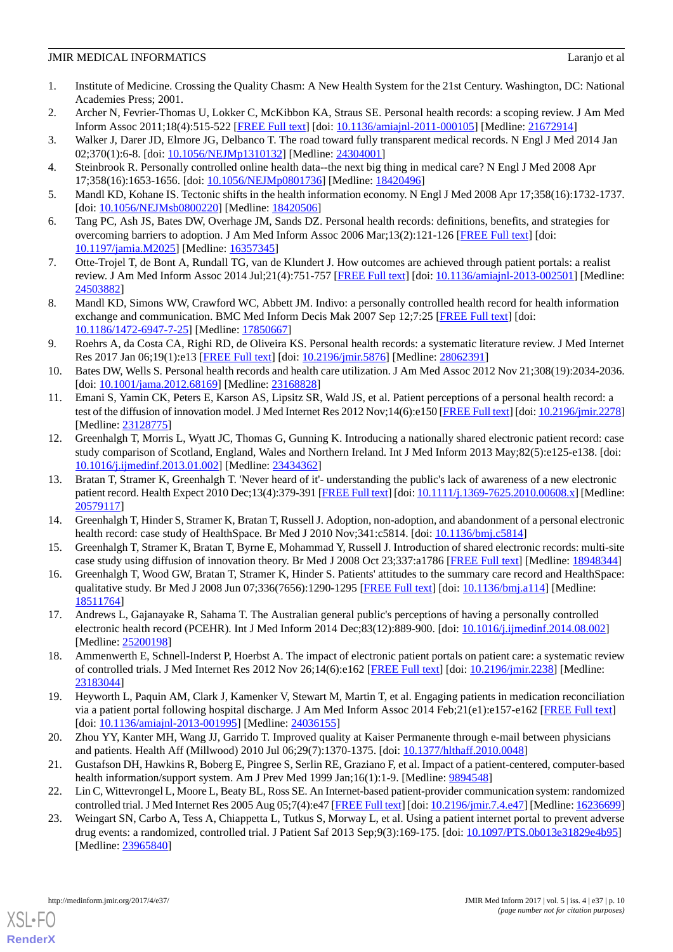- <span id="page-9-0"></span>1. Institute of Medicine. Crossing the Quality Chasm: A New Health System for the 21st Century. Washington, DC: National Academies Press; 2001.
- <span id="page-9-2"></span><span id="page-9-1"></span>2. Archer N, Fevrier-Thomas U, Lokker C, McKibbon KA, Straus SE. Personal health records: a scoping review. J Am Med Inform Assoc 2011;18(4):515-522 [\[FREE Full text](http://europepmc.org/abstract/MED/21672914)] [doi: [10.1136/amiajnl-2011-000105\]](http://dx.doi.org/10.1136/amiajnl-2011-000105) [Medline: [21672914\]](http://www.ncbi.nlm.nih.gov/entrez/query.fcgi?cmd=Retrieve&db=PubMed&list_uids=21672914&dopt=Abstract)
- <span id="page-9-3"></span>3. Walker J, Darer JD, Elmore JG, Delbanco T. The road toward fully transparent medical records. N Engl J Med 2014 Jan 02;370(1):6-8. [doi: [10.1056/NEJMp1310132\]](http://dx.doi.org/10.1056/NEJMp1310132) [Medline: [24304001\]](http://www.ncbi.nlm.nih.gov/entrez/query.fcgi?cmd=Retrieve&db=PubMed&list_uids=24304001&dopt=Abstract)
- <span id="page-9-4"></span>4. Steinbrook R. Personally controlled online health data--the next big thing in medical care? N Engl J Med 2008 Apr 17;358(16):1653-1656. [doi: [10.1056/NEJMp0801736\]](http://dx.doi.org/10.1056/NEJMp0801736) [Medline: [18420496\]](http://www.ncbi.nlm.nih.gov/entrez/query.fcgi?cmd=Retrieve&db=PubMed&list_uids=18420496&dopt=Abstract)
- <span id="page-9-5"></span>5. Mandl KD, Kohane IS. Tectonic shifts in the health information economy. N Engl J Med 2008 Apr 17;358(16):1732-1737. [doi: [10.1056/NEJMsb0800220](http://dx.doi.org/10.1056/NEJMsb0800220)] [Medline: [18420506\]](http://www.ncbi.nlm.nih.gov/entrez/query.fcgi?cmd=Retrieve&db=PubMed&list_uids=18420506&dopt=Abstract)
- <span id="page-9-16"></span>6. Tang PC, Ash JS, Bates DW, Overhage JM, Sands DZ. Personal health records: definitions, benefits, and strategies for overcoming barriers to adoption. J Am Med Inform Assoc 2006 Mar;13(2):121-126 [\[FREE Full text\]](http://paperpile.com/b/kOVAHn/jlUbm) [doi: [10.1197/jamia.M2025](http://dx.doi.org/10.1197/jamia.M2025)] [Medline: [16357345](http://www.ncbi.nlm.nih.gov/entrez/query.fcgi?cmd=Retrieve&db=PubMed&list_uids=16357345&dopt=Abstract)]
- 7. Otte-Trojel T, de Bont A, Rundall TG, van de Klundert J. How outcomes are achieved through patient portals: a realist review. J Am Med Inform Assoc 2014 Jul;21(4):751-757 [[FREE Full text\]](http://paperpile.com/b/kOVAHn/Vmx1s) [doi: [10.1136/amiajnl-2013-002501\]](http://dx.doi.org/10.1136/amiajnl-2013-002501) [Medline: [24503882](http://www.ncbi.nlm.nih.gov/entrez/query.fcgi?cmd=Retrieve&db=PubMed&list_uids=24503882&dopt=Abstract)]
- <span id="page-9-7"></span>8. Mandl KD, Simons WW, Crawford WC, Abbett JM. Indivo: a personally controlled health record for health information exchange and communication. BMC Med Inform Decis Mak 2007 Sep 12;7:25 [\[FREE Full text\]](https://bmcmedinformdecismak.biomedcentral.com/articles/10.1186/1472-6947-7-25) [doi: [10.1186/1472-6947-7-25\]](http://dx.doi.org/10.1186/1472-6947-7-25) [Medline: [17850667\]](http://www.ncbi.nlm.nih.gov/entrez/query.fcgi?cmd=Retrieve&db=PubMed&list_uids=17850667&dopt=Abstract)
- <span id="page-9-6"></span>9. Roehrs A, da Costa CA, Righi RD, de Oliveira KS. Personal health records: a systematic literature review. J Med Internet Res 2017 Jan 06;19(1):e13 [[FREE Full text](http://www.jmir.org/2017/1/e13/)] [doi: [10.2196/jmir.5876](http://dx.doi.org/10.2196/jmir.5876)] [Medline: [28062391](http://www.ncbi.nlm.nih.gov/entrez/query.fcgi?cmd=Retrieve&db=PubMed&list_uids=28062391&dopt=Abstract)]
- <span id="page-9-8"></span>10. Bates DW, Wells S. Personal health records and health care utilization. J Am Med Assoc 2012 Nov 21;308(19):2034-2036. [doi: [10.1001/jama.2012.68169\]](http://dx.doi.org/10.1001/jama.2012.68169) [Medline: [23168828](http://www.ncbi.nlm.nih.gov/entrez/query.fcgi?cmd=Retrieve&db=PubMed&list_uids=23168828&dopt=Abstract)]
- <span id="page-9-9"></span>11. Emani S, Yamin CK, Peters E, Karson AS, Lipsitz SR, Wald JS, et al. Patient perceptions of a personal health record: a test of the diffusion of innovation model. J Med Internet Res 2012 Nov;14(6):e150 [\[FREE Full text\]](http://www.jmir.org/2012/6/e150/) [doi: [10.2196/jmir.2278\]](http://dx.doi.org/10.2196/jmir.2278) [Medline: [23128775](http://www.ncbi.nlm.nih.gov/entrez/query.fcgi?cmd=Retrieve&db=PubMed&list_uids=23128775&dopt=Abstract)]
- 12. Greenhalgh T, Morris L, Wyatt JC, Thomas G, Gunning K. Introducing a nationally shared electronic patient record: case study comparison of Scotland, England, Wales and Northern Ireland. Int J Med Inform 2013 May;82(5):e125-e138. [doi: [10.1016/j.ijmedinf.2013.01.002\]](http://dx.doi.org/10.1016/j.ijmedinf.2013.01.002) [Medline: [23434362](http://www.ncbi.nlm.nih.gov/entrez/query.fcgi?cmd=Retrieve&db=PubMed&list_uids=23434362&dopt=Abstract)]
- <span id="page-9-17"></span><span id="page-9-10"></span>13. Bratan T, Stramer K, Greenhalgh T. 'Never heard of it'- understanding the public's lack of awareness of a new electronic patient record. Health Expect 2010 Dec;13(4):379-391 [[FREE Full text\]](http://europepmc.org/abstract/MED/20579117) [doi: [10.1111/j.1369-7625.2010.00608.x\]](http://dx.doi.org/10.1111/j.1369-7625.2010.00608.x) [Medline: [20579117](http://www.ncbi.nlm.nih.gov/entrez/query.fcgi?cmd=Retrieve&db=PubMed&list_uids=20579117&dopt=Abstract)]
- <span id="page-9-11"></span>14. Greenhalgh T, Hinder S, Stramer K, Bratan T, Russell J. Adoption, non-adoption, and abandonment of a personal electronic health record: case study of HealthSpace. Br Med J 2010 Nov;341:c5814. [doi: [10.1136/bmj.c5814\]](http://dx.doi.org/10.1136/bmj.c5814)
- <span id="page-9-12"></span>15. Greenhalgh T, Stramer K, Bratan T, Byrne E, Mohammad Y, Russell J. Introduction of shared electronic records: multi-site case study using diffusion of innovation theory. Br Med J 2008 Oct 23;337:a1786 [\[FREE Full text\]](http://europepmc.org/abstract/MED/18948344) [Medline: [18948344\]](http://www.ncbi.nlm.nih.gov/entrez/query.fcgi?cmd=Retrieve&db=PubMed&list_uids=18948344&dopt=Abstract)
- <span id="page-9-13"></span>16. Greenhalgh T, Wood GW, Bratan T, Stramer K, Hinder S. Patients' attitudes to the summary care record and HealthSpace: qualitative study. Br Med J 2008 Jun 07;336(7656):1290-1295 [[FREE Full text](http://www.bmj.com/cgi/pmidlookup?view=long&pmid=18511764)] [doi: [10.1136/bmj.a114](http://dx.doi.org/10.1136/bmj.a114)] [Medline: [18511764](http://www.ncbi.nlm.nih.gov/entrez/query.fcgi?cmd=Retrieve&db=PubMed&list_uids=18511764&dopt=Abstract)]
- 17. Andrews L, Gajanayake R, Sahama T. The Australian general public's perceptions of having a personally controlled electronic health record (PCEHR). Int J Med Inform 2014 Dec;83(12):889-900. [doi: [10.1016/j.ijmedinf.2014.08.002\]](http://dx.doi.org/10.1016/j.ijmedinf.2014.08.002) [Medline: [25200198](http://www.ncbi.nlm.nih.gov/entrez/query.fcgi?cmd=Retrieve&db=PubMed&list_uids=25200198&dopt=Abstract)]
- <span id="page-9-18"></span>18. Ammenwerth E, Schnell-Inderst P, Hoerbst A. The impact of electronic patient portals on patient care: a systematic review of controlled trials. J Med Internet Res 2012 Nov 26;14(6):e162 [\[FREE Full text\]](http://www.jmir.org/2012/6/e162/) [doi: [10.2196/jmir.2238\]](http://dx.doi.org/10.2196/jmir.2238) [Medline: [23183044](http://www.ncbi.nlm.nih.gov/entrez/query.fcgi?cmd=Retrieve&db=PubMed&list_uids=23183044&dopt=Abstract)]
- <span id="page-9-15"></span><span id="page-9-14"></span>19. Heyworth L, Paquin AM, Clark J, Kamenker V, Stewart M, Martin T, et al. Engaging patients in medication reconciliation via a patient portal following hospital discharge. J Am Med Inform Assoc 2014 Feb;21(e1):e157-e162 [\[FREE Full text\]](http://jamia.oxfordjournals.org/cgi/pmidlookup?view=long&pmid=24036155) [doi: [10.1136/amiajnl-2013-001995\]](http://dx.doi.org/10.1136/amiajnl-2013-001995) [Medline: [24036155\]](http://www.ncbi.nlm.nih.gov/entrez/query.fcgi?cmd=Retrieve&db=PubMed&list_uids=24036155&dopt=Abstract)
- 20. Zhou YY, Kanter MH, Wang JJ, Garrido T. Improved quality at Kaiser Permanente through e-mail between physicians and patients. Health Aff (Millwood) 2010 Jul 06;29(7):1370-1375. [doi: [10.1377/hlthaff.2010.0048\]](http://dx.doi.org/10.1377/hlthaff.2010.0048)
- 21. Gustafson DH, Hawkins R, Boberg E, Pingree S, Serlin RE, Graziano F, et al. Impact of a patient-centered, computer-based health information/support system. Am J Prev Med 1999 Jan;16(1):1-9. [Medline: [9894548](http://www.ncbi.nlm.nih.gov/entrez/query.fcgi?cmd=Retrieve&db=PubMed&list_uids=9894548&dopt=Abstract)]
- 22. Lin C, Wittevrongel L, Moore L, Beaty BL, Ross SE. An Internet-based patient-provider communication system: randomized controlled trial. J Med Internet Res 2005 Aug 05;7(4):e47 [\[FREE Full text](http://www.jmir.org/2005/4/e47/)] [doi: [10.2196/jmir.7.4.e47\]](http://dx.doi.org/10.2196/jmir.7.4.e47) [Medline: [16236699\]](http://www.ncbi.nlm.nih.gov/entrez/query.fcgi?cmd=Retrieve&db=PubMed&list_uids=16236699&dopt=Abstract)
- 23. Weingart SN, Carbo A, Tess A, Chiappetta L, Tutkus S, Morway L, et al. Using a patient internet portal to prevent adverse drug events: a randomized, controlled trial. J Patient Saf 2013 Sep;9(3):169-175. [doi: [10.1097/PTS.0b013e31829e4b95\]](http://dx.doi.org/10.1097/PTS.0b013e31829e4b95) [Medline: [23965840](http://www.ncbi.nlm.nih.gov/entrez/query.fcgi?cmd=Retrieve&db=PubMed&list_uids=23965840&dopt=Abstract)]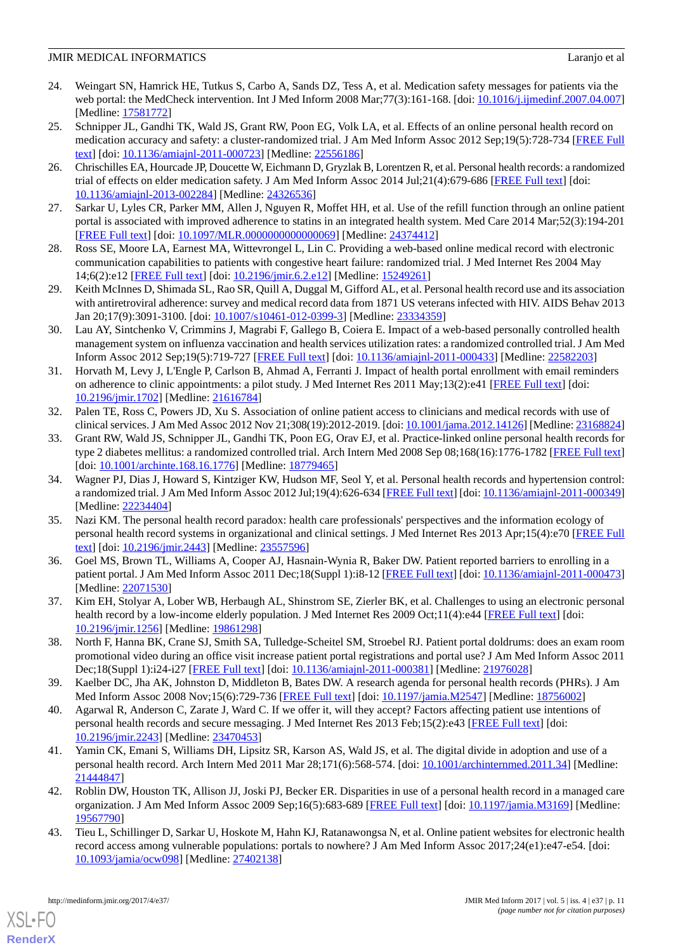- <span id="page-10-0"></span>24. Weingart SN, Hamrick HE, Tutkus S, Carbo A, Sands DZ, Tess A, et al. Medication safety messages for patients via the web portal: the MedCheck intervention. Int J Med Inform 2008 Mar; 77(3):161-168. [doi: [10.1016/j.ijmedinf.2007.04.007](http://dx.doi.org/10.1016/j.ijmedinf.2007.04.007)] [Medline: [17581772](http://www.ncbi.nlm.nih.gov/entrez/query.fcgi?cmd=Retrieve&db=PubMed&list_uids=17581772&dopt=Abstract)]
- 25. Schnipper JL, Gandhi TK, Wald JS, Grant RW, Poon EG, Volk LA, et al. Effects of an online personal health record on medication accuracy and safety: a cluster-randomized trial. J Am Med Inform Assoc 2012 Sep;19(5):728-734 [[FREE Full](http://europepmc.org/abstract/MED/22556186) [text](http://europepmc.org/abstract/MED/22556186)] [doi: [10.1136/amiajnl-2011-000723](http://dx.doi.org/10.1136/amiajnl-2011-000723)] [Medline: [22556186](http://www.ncbi.nlm.nih.gov/entrez/query.fcgi?cmd=Retrieve&db=PubMed&list_uids=22556186&dopt=Abstract)]
- <span id="page-10-1"></span>26. Chrischilles EA, Hourcade JP, Doucette W, Eichmann D, Gryzlak B, Lorentzen R, et al. Personal health records: a randomized trial of effects on elder medication safety. J Am Med Inform Assoc 2014 Jul;21(4):679-686 [[FREE Full text\]](http://jamia.oxfordjournals.org/cgi/pmidlookup?view=long&pmid=24326536) [doi: [10.1136/amiajnl-2013-002284](http://dx.doi.org/10.1136/amiajnl-2013-002284)] [Medline: [24326536](http://www.ncbi.nlm.nih.gov/entrez/query.fcgi?cmd=Retrieve&db=PubMed&list_uids=24326536&dopt=Abstract)]
- <span id="page-10-2"></span>27. Sarkar U, Lyles CR, Parker MM, Allen J, Nguyen R, Moffet HH, et al. Use of the refill function through an online patient portal is associated with improved adherence to statins in an integrated health system. Med Care 2014 Mar;52(3):194-201 [[FREE Full text](http://europepmc.org/abstract/MED/24374412)] [doi: [10.1097/MLR.0000000000000069\]](http://dx.doi.org/10.1097/MLR.0000000000000069) [Medline: [24374412\]](http://www.ncbi.nlm.nih.gov/entrez/query.fcgi?cmd=Retrieve&db=PubMed&list_uids=24374412&dopt=Abstract)
- 28. Ross SE, Moore LA, Earnest MA, Wittevrongel L, Lin C. Providing a web-based online medical record with electronic communication capabilities to patients with congestive heart failure: randomized trial. J Med Internet Res 2004 May 14;6(2):e12 [\[FREE Full text](http://www.jmir.org/2004/2/e12/)] [doi: [10.2196/jmir.6.2.e12\]](http://dx.doi.org/10.2196/jmir.6.2.e12) [Medline: [15249261\]](http://www.ncbi.nlm.nih.gov/entrez/query.fcgi?cmd=Retrieve&db=PubMed&list_uids=15249261&dopt=Abstract)
- <span id="page-10-3"></span>29. Keith McInnes D, Shimada SL, Rao SR, Quill A, Duggal M, Gifford AL, et al. Personal health record use and its association with antiretroviral adherence: survey and medical record data from 1871 US veterans infected with HIV. AIDS Behav 2013 Jan 20;17(9):3091-3100. [doi: [10.1007/s10461-012-0399-3\]](http://dx.doi.org/10.1007/s10461-012-0399-3) [Medline: [23334359](http://www.ncbi.nlm.nih.gov/entrez/query.fcgi?cmd=Retrieve&db=PubMed&list_uids=23334359&dopt=Abstract)]
- 30. Lau AY, Sintchenko V, Crimmins J, Magrabi F, Gallego B, Coiera E. Impact of a web-based personally controlled health management system on influenza vaccination and health services utilization rates: a randomized controlled trial. J Am Med Inform Assoc 2012 Sep;19(5):719-727 [[FREE Full text](http://europepmc.org/abstract/MED/22582203)] [doi: [10.1136/amiajnl-2011-000433](http://dx.doi.org/10.1136/amiajnl-2011-000433)] [Medline: [22582203\]](http://www.ncbi.nlm.nih.gov/entrez/query.fcgi?cmd=Retrieve&db=PubMed&list_uids=22582203&dopt=Abstract)
- <span id="page-10-4"></span>31. Horvath M, Levy J, L'Engle P, Carlson B, Ahmad A, Ferranti J. Impact of health portal enrollment with email reminders on adherence to clinic appointments: a pilot study. J Med Internet Res 2011 May;13(2):e41 [[FREE Full text](http://www.jmir.org/2011/2/e41/)] [doi: [10.2196/jmir.1702](http://dx.doi.org/10.2196/jmir.1702)] [Medline: [21616784](http://www.ncbi.nlm.nih.gov/entrez/query.fcgi?cmd=Retrieve&db=PubMed&list_uids=21616784&dopt=Abstract)]
- <span id="page-10-5"></span>32. Palen TE, Ross C, Powers JD, Xu S. Association of online patient access to clinicians and medical records with use of clinical services. J Am Med Assoc 2012 Nov 21;308(19):2012-2019. [doi: [10.1001/jama.2012.14126](http://dx.doi.org/10.1001/jama.2012.14126)] [Medline: [23168824\]](http://www.ncbi.nlm.nih.gov/entrez/query.fcgi?cmd=Retrieve&db=PubMed&list_uids=23168824&dopt=Abstract)
- <span id="page-10-6"></span>33. Grant RW, Wald JS, Schnipper JL, Gandhi TK, Poon EG, Orav EJ, et al. Practice-linked online personal health records for type 2 diabetes mellitus: a randomized controlled trial. Arch Intern Med 2008 Sep 08;168(16):1776-1782 [[FREE Full text](http://europepmc.org/abstract/MED/18779465)] [doi: [10.1001/archinte.168.16.1776\]](http://dx.doi.org/10.1001/archinte.168.16.1776) [Medline: [18779465\]](http://www.ncbi.nlm.nih.gov/entrez/query.fcgi?cmd=Retrieve&db=PubMed&list_uids=18779465&dopt=Abstract)
- <span id="page-10-7"></span>34. Wagner PJ, Dias J, Howard S, Kintziger KW, Hudson MF, Seol Y, et al. Personal health records and hypertension control: a randomized trial. J Am Med Inform Assoc 2012 Jul;19(4):626-634 [[FREE Full text](http://jamia.oxfordjournals.org/cgi/pmidlookup?view=long&pmid=22234404)] [doi: [10.1136/amiajnl-2011-000349](http://dx.doi.org/10.1136/amiajnl-2011-000349)] [Medline: [22234404](http://www.ncbi.nlm.nih.gov/entrez/query.fcgi?cmd=Retrieve&db=PubMed&list_uids=22234404&dopt=Abstract)]
- 35. Nazi KM. The personal health record paradox: health care professionals' perspectives and the information ecology of personal health record systems in organizational and clinical settings. J Med Internet Res 2013 Apr;15(4):e70 [[FREE Full](http://www.jmir.org/2013/4/e70/) [text](http://www.jmir.org/2013/4/e70/)] [doi: [10.2196/jmir.2443](http://dx.doi.org/10.2196/jmir.2443)] [Medline: [23557596](http://www.ncbi.nlm.nih.gov/entrez/query.fcgi?cmd=Retrieve&db=PubMed&list_uids=23557596&dopt=Abstract)]
- <span id="page-10-13"></span>36. Goel MS, Brown TL, Williams A, Cooper AJ, Hasnain-Wynia R, Baker DW. Patient reported barriers to enrolling in a patient portal. J Am Med Inform Assoc 2011 Dec;18(Suppl 1):i8-12 [\[FREE Full text](http://jamia.oxfordjournals.org/lookup/pmidlookup?view=long&pmid=22071530)] [doi: [10.1136/amiajnl-2011-000473](http://dx.doi.org/10.1136/amiajnl-2011-000473)] [Medline: [22071530](http://www.ncbi.nlm.nih.gov/entrez/query.fcgi?cmd=Retrieve&db=PubMed&list_uids=22071530&dopt=Abstract)]
- <span id="page-10-8"></span>37. Kim EH, Stolyar A, Lober WB, Herbaugh AL, Shinstrom SE, Zierler BK, et al. Challenges to using an electronic personal health record by a low-income elderly population. J Med Internet Res 2009 Oct;11(4):e44 [[FREE Full text](http://www.jmir.org/2009/4/e44/)] [doi: [10.2196/jmir.1256](http://dx.doi.org/10.2196/jmir.1256)] [Medline: [19861298](http://www.ncbi.nlm.nih.gov/entrez/query.fcgi?cmd=Retrieve&db=PubMed&list_uids=19861298&dopt=Abstract)]
- <span id="page-10-9"></span>38. North F, Hanna BK, Crane SJ, Smith SA, Tulledge-Scheitel SM, Stroebel RJ. Patient portal doldrums: does an exam room promotional video during an office visit increase patient portal registrations and portal use? J Am Med Inform Assoc 2011 Dec;18(Suppl 1):i24-i27 [\[FREE Full text\]](http://europepmc.org/abstract/MED/21976028) [doi: [10.1136/amiajnl-2011-000381\]](http://dx.doi.org/10.1136/amiajnl-2011-000381) [Medline: [21976028\]](http://www.ncbi.nlm.nih.gov/entrez/query.fcgi?cmd=Retrieve&db=PubMed&list_uids=21976028&dopt=Abstract)
- <span id="page-10-10"></span>39. Kaelber DC, Jha AK, Johnston D, Middleton B, Bates DW. A research agenda for personal health records (PHRs). J Am Med Inform Assoc 2008 Nov;15(6):729-736 [\[FREE Full text\]](http://jamia.oxfordjournals.org/cgi/pmidlookup?view=long&pmid=18756002) [doi: [10.1197/jamia.M2547](http://dx.doi.org/10.1197/jamia.M2547)] [Medline: [18756002\]](http://www.ncbi.nlm.nih.gov/entrez/query.fcgi?cmd=Retrieve&db=PubMed&list_uids=18756002&dopt=Abstract)
- <span id="page-10-12"></span>40. Agarwal R, Anderson C, Zarate J, Ward C. If we offer it, will they accept? Factors affecting patient use intentions of personal health records and secure messaging. J Med Internet Res 2013 Feb;15(2):e43 [\[FREE Full text\]](http://www.jmir.org/2013/2/e43/) [doi: [10.2196/jmir.2243](http://dx.doi.org/10.2196/jmir.2243)] [Medline: [23470453](http://www.ncbi.nlm.nih.gov/entrez/query.fcgi?cmd=Retrieve&db=PubMed&list_uids=23470453&dopt=Abstract)]
- <span id="page-10-11"></span>41. Yamin CK, Emani S, Williams DH, Lipsitz SR, Karson AS, Wald JS, et al. The digital divide in adoption and use of a personal health record. Arch Intern Med 2011 Mar 28;171(6):568-574. [doi: [10.1001/archinternmed.2011.34\]](http://dx.doi.org/10.1001/archinternmed.2011.34) [Medline: [21444847](http://www.ncbi.nlm.nih.gov/entrez/query.fcgi?cmd=Retrieve&db=PubMed&list_uids=21444847&dopt=Abstract)]
- 42. Roblin DW, Houston TK, Allison JJ, Joski PJ, Becker ER. Disparities in use of a personal health record in a managed care organization. J Am Med Inform Assoc 2009 Sep;16(5):683-689 [\[FREE Full text\]](http://europepmc.org/abstract/MED/19567790) [doi: [10.1197/jamia.M3169\]](http://dx.doi.org/10.1197/jamia.M3169) [Medline: [19567790](http://www.ncbi.nlm.nih.gov/entrez/query.fcgi?cmd=Retrieve&db=PubMed&list_uids=19567790&dopt=Abstract)]
- 43. Tieu L, Schillinger D, Sarkar U, Hoskote M, Hahn KJ, Ratanawongsa N, et al. Online patient websites for electronic health record access among vulnerable populations: portals to nowhere? J Am Med Inform Assoc 2017;24(e1):e47-e54. [doi: [10.1093/jamia/ocw098](http://dx.doi.org/10.1093/jamia/ocw098)] [Medline: [27402138](http://www.ncbi.nlm.nih.gov/entrez/query.fcgi?cmd=Retrieve&db=PubMed&list_uids=27402138&dopt=Abstract)]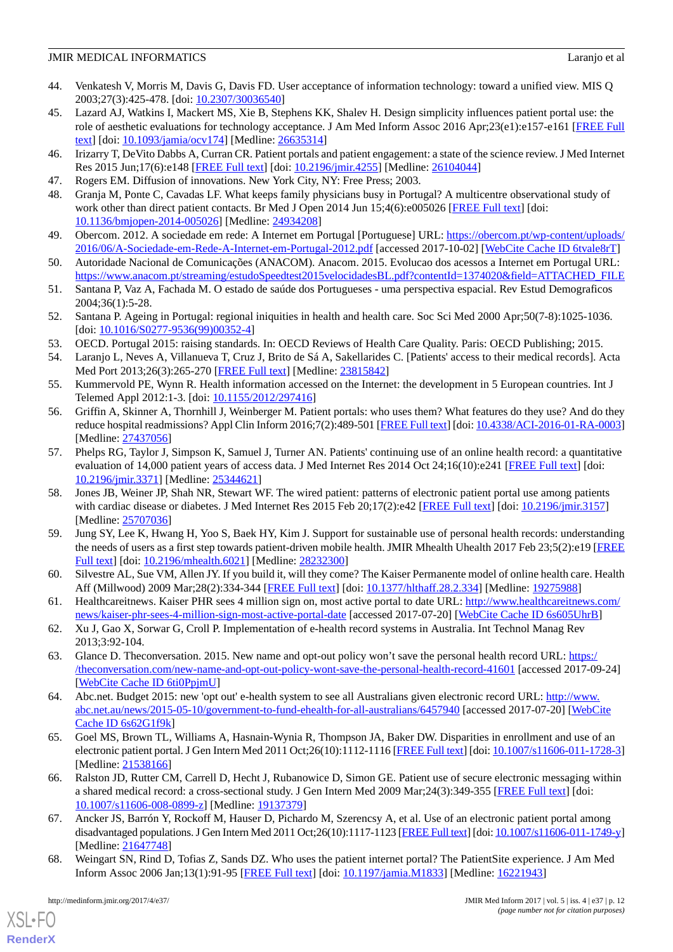- <span id="page-11-0"></span>44. Venkatesh V, Morris M, Davis G, Davis FD. User acceptance of information technology: toward a unified view. MIS Q 2003;27(3):425-478. [doi: [10.2307/30036540\]](http://dx.doi.org/10.2307/30036540)
- <span id="page-11-1"></span>45. Lazard AJ, Watkins I, Mackert MS, Xie B, Stephens KK, Shalev H. Design simplicity influences patient portal use: the role of aesthetic evaluations for technology acceptance. J Am Med Inform Assoc 2016 Apr;23(e1):e157-e161 [[FREE Full](http://europepmc.org/abstract/MED/26635314) [text](http://europepmc.org/abstract/MED/26635314)] [doi: [10.1093/jamia/ocv174](http://dx.doi.org/10.1093/jamia/ocv174)] [Medline: [26635314](http://www.ncbi.nlm.nih.gov/entrez/query.fcgi?cmd=Retrieve&db=PubMed&list_uids=26635314&dopt=Abstract)]
- <span id="page-11-3"></span><span id="page-11-2"></span>46. Irizarry T, DeVito Dabbs A, Curran CR. Patient portals and patient engagement: a state of the science review. J Med Internet Res 2015 Jun;17(6):e148 [[FREE Full text](http://www.jmir.org/2015/6/e148/)] [doi: [10.2196/jmir.4255](http://dx.doi.org/10.2196/jmir.4255)] [Medline: [26104044](http://www.ncbi.nlm.nih.gov/entrez/query.fcgi?cmd=Retrieve&db=PubMed&list_uids=26104044&dopt=Abstract)]
- <span id="page-11-4"></span>47. Rogers EM. Diffusion of innovations. New York City, NY: Free Press; 2003.
- <span id="page-11-5"></span>48. Granja M, Ponte C, Cavadas LF. What keeps family physicians busy in Portugal? A multicentre observational study of work other than direct patient contacts. Br Med J Open 2014 Jun 15;4(6):e005026 [\[FREE Full text\]](http://bmjopen.bmj.com/cgi/pmidlookup?view=long&pmid=24934208) [doi: [10.1136/bmjopen-2014-005026\]](http://dx.doi.org/10.1136/bmjopen-2014-005026) [Medline: [24934208](http://www.ncbi.nlm.nih.gov/entrez/query.fcgi?cmd=Retrieve&db=PubMed&list_uids=24934208&dopt=Abstract)]
- <span id="page-11-6"></span>49. Obercom. 2012. A sociedade em rede: A Internet em Portugal [Portuguese] URL: [https://obercom.pt/wp-content/uploads/](https://obercom.pt/wp-content/uploads/2016/06/A-Sociedade-em-Rede-A-Internet-em-Portugal-2012.pdf) [2016/06/A-Sociedade-em-Rede-A-Internet-em-Portugal-2012.pdf](https://obercom.pt/wp-content/uploads/2016/06/A-Sociedade-em-Rede-A-Internet-em-Portugal-2012.pdf) [accessed 2017-10-02] [\[WebCite Cache ID 6tvale8rT\]](http://www.webcitation.org/

                                6tvale8rT)
- <span id="page-11-7"></span>50. Autoridade Nacional de Comunicações (ANACOM). Anacom. 2015. Evolucao dos acessos a Internet em Portugal URL: [https://www.anacom.pt/streaming/estudoSpeedtest2015velocidadesBL.pdf?contentId=1374020&field=ATTACHED\\_FILE](https://www.anacom.pt/streaming/estudoSpeedtest2015velocidadesBL.pdf?contentId=1374020&field=ATTACHED_FILE)
- <span id="page-11-8"></span>51. Santana P, Vaz A, Fachada M. O estado de saúde dos Portugueses - uma perspectiva espacial. Rev Estud Demograficos 2004;36(1):5-28.
- <span id="page-11-10"></span><span id="page-11-9"></span>52. Santana P. Ageing in Portugal: regional iniquities in health and health care. Soc Sci Med 2000 Apr;50(7-8):1025-1036. [doi: [10.1016/S0277-9536\(99\)00352-4](http://dx.doi.org/10.1016/S0277-9536(99)00352-4)]
- <span id="page-11-11"></span>53. OECD. Portugal 2015: raising standards. In: OECD Reviews of Health Care Quality. Paris: OECD Publishing; 2015.
- <span id="page-11-12"></span>54. Laranjo L, Neves A, Villanueva T, Cruz J, Brito de Sá A, Sakellarides C. [Patients' access to their medical records]. Acta Med Port 2013;26(3):265-270 [[FREE Full text](http://www.actamedicaportuguesa.com/revista/index.php/amp/article/view/123/3360)] [Medline: [23815842](http://www.ncbi.nlm.nih.gov/entrez/query.fcgi?cmd=Retrieve&db=PubMed&list_uids=23815842&dopt=Abstract)]
- 55. Kummervold PE, Wynn R. Health information accessed on the Internet: the development in 5 European countries. Int J Telemed Appl 2012:1-3. [doi: [10.1155/2012/297416](http://dx.doi.org/10.1155/2012/297416)]
- 56. Griffin A, Skinner A, Thornhill J, Weinberger M. Patient portals: who uses them? What features do they use? And do they reduce hospital readmissions? Appl Clin Inform 2016;7(2):489-501 [[FREE Full text](http://europepmc.org/abstract/MED/27437056)] [doi: [10.4338/ACI-2016-01-RA-0003\]](http://dx.doi.org/10.4338/ACI-2016-01-RA-0003) [Medline: [27437056](http://www.ncbi.nlm.nih.gov/entrez/query.fcgi?cmd=Retrieve&db=PubMed&list_uids=27437056&dopt=Abstract)]
- 57. Phelps RG, Taylor J, Simpson K, Samuel J, Turner AN. Patients' continuing use of an online health record: a quantitative evaluation of 14,000 patient years of access data. J Med Internet Res 2014 Oct 24;16(10):e241 [\[FREE Full text](http://www.jmir.org/2014/10/e241/)] [doi: [10.2196/jmir.3371](http://dx.doi.org/10.2196/jmir.3371)] [Medline: [25344621](http://www.ncbi.nlm.nih.gov/entrez/query.fcgi?cmd=Retrieve&db=PubMed&list_uids=25344621&dopt=Abstract)]
- <span id="page-11-13"></span>58. Jones JB, Weiner JP, Shah NR, Stewart WF. The wired patient: patterns of electronic patient portal use among patients with cardiac disease or diabetes. J Med Internet Res 2015 Feb 20;17(2):e42 [[FREE Full text](http://www.jmir.org/2015/2/e42/)] [doi: [10.2196/jmir.3157\]](http://dx.doi.org/10.2196/jmir.3157) [Medline: [25707036](http://www.ncbi.nlm.nih.gov/entrez/query.fcgi?cmd=Retrieve&db=PubMed&list_uids=25707036&dopt=Abstract)]
- <span id="page-11-15"></span><span id="page-11-14"></span>59. Jung SY, Lee K, Hwang H, Yoo S, Baek HY, Kim J. Support for sustainable use of personal health records: understanding the needs of users as a first step towards patient-driven mobile health. JMIR Mhealth Uhealth 2017 Feb 23;5(2):e19 [\[FREE](http://mhealth.jmir.org/2017/2/e19/) [Full text\]](http://mhealth.jmir.org/2017/2/e19/) [doi: [10.2196/mhealth.6021](http://dx.doi.org/10.2196/mhealth.6021)] [Medline: [28232300\]](http://www.ncbi.nlm.nih.gov/entrez/query.fcgi?cmd=Retrieve&db=PubMed&list_uids=28232300&dopt=Abstract)
- <span id="page-11-16"></span>60. Silvestre AL, Sue VM, Allen JY. If you build it, will they come? The Kaiser Permanente model of online health care. Health Aff (Millwood) 2009 Mar;28(2):334-344 [[FREE Full text](http://content.healthaffairs.org/cgi/pmidlookup?view=long&pmid=19275988)] [doi: [10.1377/hlthaff.28.2.334](http://dx.doi.org/10.1377/hlthaff.28.2.334)] [Medline: [19275988](http://www.ncbi.nlm.nih.gov/entrez/query.fcgi?cmd=Retrieve&db=PubMed&list_uids=19275988&dopt=Abstract)]
- <span id="page-11-17"></span>61. Healthcareitnews. Kaiser PHR sees 4 million sign on, most active portal to date URL: [http://www.healthcareitnews.com/](http://www.healthcareitnews.com/news/kaiser-phr-sees-4-million-sign-most-active-portal-date) [news/kaiser-phr-sees-4-million-sign-most-active-portal-date](http://www.healthcareitnews.com/news/kaiser-phr-sees-4-million-sign-most-active-portal-date) [accessed 2017-07-20] [[WebCite Cache ID 6s605UhrB\]](http://www.webcitation.org/

                                6s605UhrB)
- <span id="page-11-18"></span>62. Xu J, Gao X, Sorwar G, Croll P. Implementation of e-health record systems in Australia. Int Technol Manag Rev 2013;3:92-104.
- <span id="page-11-19"></span>63. Glance D. Theconversation. 2015. New name and opt-out policy won't save the personal health record URL: [https:/](https://theconversation.com/new-name-and-opt-out-policy-wont-save-the-personal-health-record-41601) [/theconversation.com/new-name-and-opt-out-policy-wont-save-the-personal-health-record-41601](https://theconversation.com/new-name-and-opt-out-policy-wont-save-the-personal-health-record-41601) [accessed 2017-09-24] [[WebCite Cache ID 6ti0PpjmU\]](http://www.webcitation.org/

                                6ti0PpjmU)
- 64. Abc.net. Budget 2015: new 'opt out' e-health system to see all Australians given electronic record URL: [http://www.](http://www.abc.net.au/news/2015-05-10/government-to-fund-ehealth-for-all-australians/6457940) [abc.net.au/news/2015-05-10/government-to-fund-ehealth-for-all-australians/6457940](http://www.abc.net.au/news/2015-05-10/government-to-fund-ehealth-for-all-australians/6457940) [accessed 2017-07-20] [[WebCite](http://www.webcitation.org/

                                6s62G1f9k) [Cache ID 6s62G1f9k\]](http://www.webcitation.org/

                                6s62G1f9k)
- <span id="page-11-20"></span>65. Goel MS, Brown TL, Williams A, Hasnain-Wynia R, Thompson JA, Baker DW. Disparities in enrollment and use of an electronic patient portal. J Gen Intern Med 2011 Oct;26(10):1112-1116 [\[FREE Full text](http://europepmc.org/abstract/MED/21538166)] [doi: [10.1007/s11606-011-1728-3\]](http://dx.doi.org/10.1007/s11606-011-1728-3) [Medline: [21538166](http://www.ncbi.nlm.nih.gov/entrez/query.fcgi?cmd=Retrieve&db=PubMed&list_uids=21538166&dopt=Abstract)]
- <span id="page-11-21"></span>66. Ralston JD, Rutter CM, Carrell D, Hecht J, Rubanowice D, Simon GE. Patient use of secure electronic messaging within a shared medical record: a cross-sectional study. J Gen Intern Med 2009 Mar; 24(3): 349-355 [\[FREE Full text\]](http://europepmc.org/abstract/MED/19137379) [doi: [10.1007/s11606-008-0899-z](http://dx.doi.org/10.1007/s11606-008-0899-z)] [Medline: [19137379\]](http://www.ncbi.nlm.nih.gov/entrez/query.fcgi?cmd=Retrieve&db=PubMed&list_uids=19137379&dopt=Abstract)
- 67. Ancker JS, Barrón Y, Rockoff M, Hauser D, Pichardo M, Szerencsy A, et al. Use of an electronic patient portal among disadvantaged populations. J Gen Intern Med 2011 Oct;26(10):1117-1123 [[FREE Full text](http://europepmc.org/abstract/MED/21647748)] [doi: [10.1007/s11606-011-1749-y\]](http://dx.doi.org/10.1007/s11606-011-1749-y) [Medline: [21647748](http://www.ncbi.nlm.nih.gov/entrez/query.fcgi?cmd=Retrieve&db=PubMed&list_uids=21647748&dopt=Abstract)]
- 68. Weingart SN, Rind D, Tofias Z, Sands DZ. Who uses the patient internet portal? The PatientSite experience. J Am Med Inform Assoc 2006 Jan;13(1):91-95 [[FREE Full text](http://europepmc.org/abstract/MED/16221943)] [doi: [10.1197/jamia.M1833](http://dx.doi.org/10.1197/jamia.M1833)] [Medline: [16221943](http://www.ncbi.nlm.nih.gov/entrez/query.fcgi?cmd=Retrieve&db=PubMed&list_uids=16221943&dopt=Abstract)]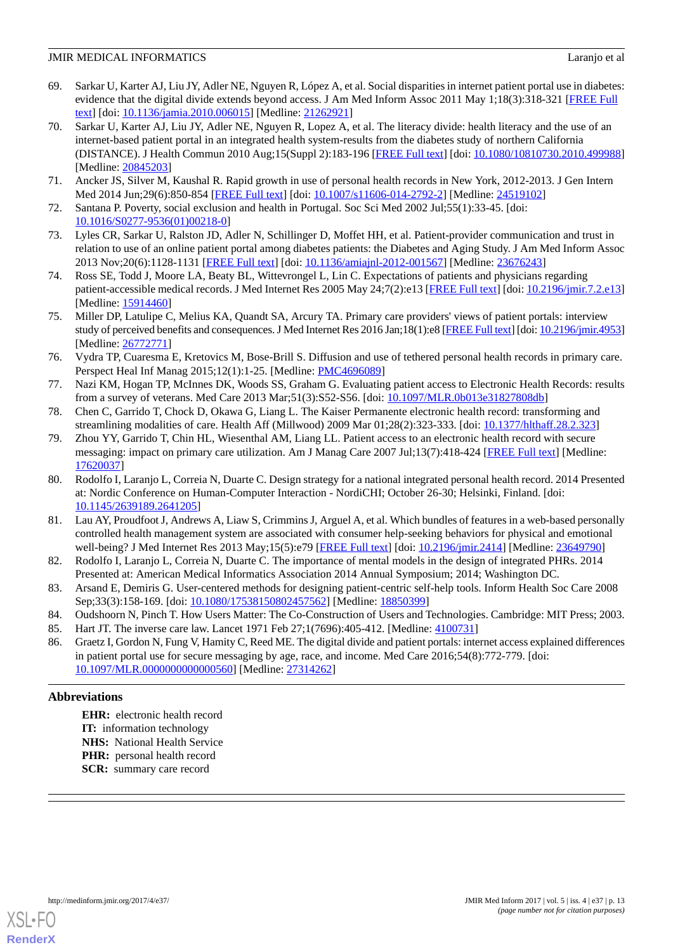- <span id="page-12-0"></span>69. Sarkar U, Karter AJ, Liu JY, Adler NE, Nguyen R, López A, et al. Social disparities in internet patient portal use in diabetes: evidence that the digital divide extends beyond access. J Am Med Inform Assoc 2011 May 1;18(3):318-321 [[FREE Full](http://jamia.oxfordjournals.org/cgi/pmidlookup?view=long&pmid=21262921) [text](http://jamia.oxfordjournals.org/cgi/pmidlookup?view=long&pmid=21262921)] [doi: [10.1136/jamia.2010.006015](http://dx.doi.org/10.1136/jamia.2010.006015)] [Medline: [21262921\]](http://www.ncbi.nlm.nih.gov/entrez/query.fcgi?cmd=Retrieve&db=PubMed&list_uids=21262921&dopt=Abstract)
- <span id="page-12-1"></span>70. Sarkar U, Karter AJ, Liu JY, Adler NE, Nguyen R, Lopez A, et al. The literacy divide: health literacy and the use of an internet-based patient portal in an integrated health system-results from the diabetes study of northern California (DISTANCE). J Health Commun 2010 Aug;15(Suppl 2):183-196 [\[FREE Full text](http://europepmc.org/abstract/MED/20845203)] [doi: [10.1080/10810730.2010.499988](http://dx.doi.org/10.1080/10810730.2010.499988)] [Medline: [20845203](http://www.ncbi.nlm.nih.gov/entrez/query.fcgi?cmd=Retrieve&db=PubMed&list_uids=20845203&dopt=Abstract)]
- <span id="page-12-3"></span><span id="page-12-2"></span>71. Ancker JS, Silver M, Kaushal R. Rapid growth in use of personal health records in New York, 2012-2013. J Gen Intern Med 2014 Jun;29(6):850-854 [\[FREE Full text](http://europepmc.org/abstract/MED/24519102)] [doi: [10.1007/s11606-014-2792-2\]](http://dx.doi.org/10.1007/s11606-014-2792-2) [Medline: [24519102\]](http://www.ncbi.nlm.nih.gov/entrez/query.fcgi?cmd=Retrieve&db=PubMed&list_uids=24519102&dopt=Abstract)
- <span id="page-12-4"></span>72. Santana P. Poverty, social exclusion and health in Portugal. Soc Sci Med 2002 Jul;55(1):33-45. [doi: [10.1016/S0277-9536\(01\)00218-0\]](http://dx.doi.org/10.1016/S0277-9536(01)00218-0)
- <span id="page-12-5"></span>73. Lyles CR, Sarkar U, Ralston JD, Adler N, Schillinger D, Moffet HH, et al. Patient-provider communication and trust in relation to use of an online patient portal among diabetes patients: the Diabetes and Aging Study. J Am Med Inform Assoc 2013 Nov;20(6):1128-1131 [\[FREE Full text\]](http://jamia.oxfordjournals.org/lookup/pmidlookup?view=long&pmid=23676243) [doi: [10.1136/amiajnl-2012-001567](http://dx.doi.org/10.1136/amiajnl-2012-001567)] [Medline: [23676243\]](http://www.ncbi.nlm.nih.gov/entrez/query.fcgi?cmd=Retrieve&db=PubMed&list_uids=23676243&dopt=Abstract)
- 74. Ross SE, Todd J, Moore LA, Beaty BL, Wittevrongel L, Lin C. Expectations of patients and physicians regarding patient-accessible medical records. J Med Internet Res 2005 May 24;7(2):e13 [[FREE Full text\]](http://www.jmir.org/2005/2/e13/) [doi: [10.2196/jmir.7.2.e13](http://dx.doi.org/10.2196/jmir.7.2.e13)] [Medline: [15914460](http://www.ncbi.nlm.nih.gov/entrez/query.fcgi?cmd=Retrieve&db=PubMed&list_uids=15914460&dopt=Abstract)]
- <span id="page-12-6"></span>75. Miller DP, Latulipe C, Melius KA, Quandt SA, Arcury TA. Primary care providers' views of patient portals: interview study of perceived benefits and consequences. J Med Internet Res 2016 Jan;18(1):e8 [\[FREE Full text](http://www.jmir.org/2016/1/e8/)] [doi: [10.2196/jmir.4953\]](http://dx.doi.org/10.2196/jmir.4953) [Medline: [26772771](http://www.ncbi.nlm.nih.gov/entrez/query.fcgi?cmd=Retrieve&db=PubMed&list_uids=26772771&dopt=Abstract)]
- <span id="page-12-7"></span>76. Vydra TP, Cuaresma E, Kretovics M, Bose-Brill S. Diffusion and use of tethered personal health records in primary care. Perspect Heal Inf Manag 2015;12(1):1-25. [Medline: [PMC4696089](http://www.ncbi.nlm.nih.gov/entrez/query.fcgi?cmd=Retrieve&db=PubMed&list_uids=PMC4696089&dopt=Abstract)]
- 77. Nazi KM, Hogan TP, McInnes DK, Woods SS, Graham G. Evaluating patient access to Electronic Health Records: results from a survey of veterans. Med Care 2013 Mar;51(3):S52-S56. [doi: [10.1097/MLR.0b013e31827808db\]](http://dx.doi.org/10.1097/MLR.0b013e31827808db)
- 78. Chen C, Garrido T, Chock D, Okawa G, Liang L. The Kaiser Permanente electronic health record: transforming and streamlining modalities of care. Health Aff (Millwood) 2009 Mar 01;28(2):323-333. [doi: [10.1377/hlthaff.28.2.323](http://dx.doi.org/10.1377/hlthaff.28.2.323)]
- <span id="page-12-9"></span>79. Zhou YY, Garrido T, Chin HL, Wiesenthal AM, Liang LL. Patient access to an electronic health record with secure messaging: impact on primary care utilization. Am J Manag Care 2007 Jul;13(7):418-424 [\[FREE Full text\]](http://www.ajmc.com/pubMed.php?pii=3340) [Medline: [17620037](http://www.ncbi.nlm.nih.gov/entrez/query.fcgi?cmd=Retrieve&db=PubMed&list_uids=17620037&dopt=Abstract)]
- <span id="page-12-8"></span>80. Rodolfo I, Laranjo L, Correia N, Duarte C. Design strategy for a national integrated personal health record. 2014 Presented at: Nordic Conference on Human-Computer Interaction - NordiCHI; October 26-30; Helsinki, Finland. [doi: [10.1145/2639189.2641205](http://dx.doi.org/10.1145/2639189.2641205)]
- <span id="page-12-11"></span><span id="page-12-10"></span>81. Lau AY, Proudfoot J, Andrews A, Liaw S, Crimmins J, Arguel A, et al. Which bundles of features in a web-based personally controlled health management system are associated with consumer help-seeking behaviors for physical and emotional well-being? J Med Internet Res 2013 May;15(5):e79 [[FREE Full text](http://www.jmir.org/2013/5/e79/)] [doi: [10.2196/jmir.2414](http://dx.doi.org/10.2196/jmir.2414)] [Medline: [23649790](http://www.ncbi.nlm.nih.gov/entrez/query.fcgi?cmd=Retrieve&db=PubMed&list_uids=23649790&dopt=Abstract)]
- <span id="page-12-13"></span><span id="page-12-12"></span>82. Rodolfo I, Laranjo L, Correia N, Duarte C. The importance of mental models in the design of integrated PHRs. 2014 Presented at: American Medical Informatics Association 2014 Annual Symposium; 2014; Washington DC.
- <span id="page-12-14"></span>83. Arsand E, Demiris G. User-centered methods for designing patient-centric self-help tools. Inform Health Soc Care 2008 Sep;33(3):158-169. [doi: [10.1080/17538150802457562\]](http://dx.doi.org/10.1080/17538150802457562) [Medline: [18850399](http://www.ncbi.nlm.nih.gov/entrez/query.fcgi?cmd=Retrieve&db=PubMed&list_uids=18850399&dopt=Abstract)]
- 84. Oudshoorn N, Pinch T. How Users Matter: The Co-Construction of Users and Technologies. Cambridge: MIT Press; 2003.
- 85. Hart JT. The inverse care law. Lancet 1971 Feb 27;1(7696):405-412. [Medline: [4100731\]](http://www.ncbi.nlm.nih.gov/entrez/query.fcgi?cmd=Retrieve&db=PubMed&list_uids=4100731&dopt=Abstract)
- 86. Graetz I, Gordon N, Fung V, Hamity C, Reed ME. The digital divide and patient portals: internet access explained differences in patient portal use for secure messaging by age, race, and income. Med Care 2016;54(8):772-779. [doi: [10.1097/MLR.0000000000000560\]](http://dx.doi.org/10.1097/MLR.0000000000000560) [Medline: [27314262\]](http://www.ncbi.nlm.nih.gov/entrez/query.fcgi?cmd=Retrieve&db=PubMed&list_uids=27314262&dopt=Abstract)

## **Abbreviations**

**EHR:** electronic health record **IT:** information technology **NHS:** National Health Service **PHR:** personal health record **SCR:** summary care record